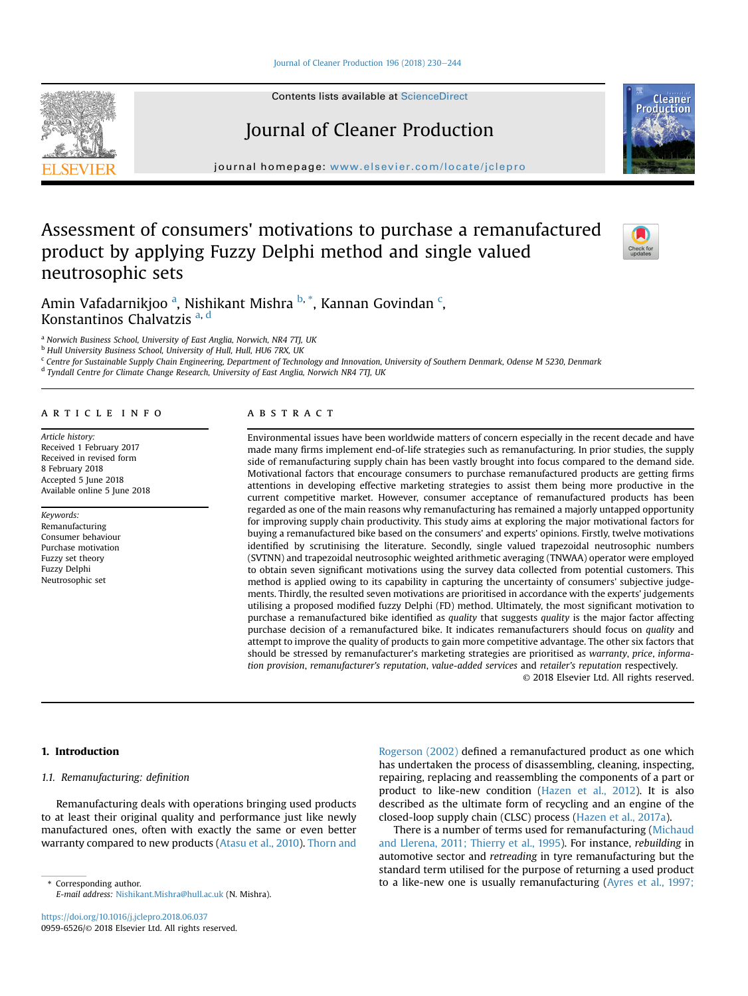## [Journal of Cleaner Production 196 \(2018\) 230](https://doi.org/10.1016/j.jclepro.2018.06.037)-[244](https://doi.org/10.1016/j.jclepro.2018.06.037)

Contents lists available at ScienceDirect

# Journal of Cleaner Production

journal homepage: [www.elsevier.com/locate/jclepro](http://www.elsevier.com/locate/jclepro)

# Assessment of consumers' motivations to purchase a remanufactured product by applying Fuzzy Delphi method and single valued neutrosophic sets

Amin Vafadarnikjoo <sup>a</sup>, Nishikant Mishra <sup>b, \*</sup>, Kannan Govindan <sup>c</sup>, Konstantinos Chalvatzis a, d

<sup>a</sup> Norwich Business School, University of East Anglia, Norwich, NR4 7TJ, UK

<sup>b</sup> Hull University Business School, University of Hull, Hull, HU6 7RX, UK

<sup>c</sup> Centre for Sustainable Supply Chain Engineering, Department of Technology and Innovation, University of Southern Denmark, Odense M 5230, Denmark

<sup>d</sup> Tyndall Centre for Climate Change Research, University of East Anglia, Norwich NR4 7TJ, UK

## article info

Article history: Received 1 February 2017 Received in revised form 8 February 2018 Accepted 5 June 2018 Available online 5 June 2018

Keywords: Remanufacturing Consumer behaviour Purchase motivation Fuzzy set theory Fuzzy Delphi Neutrosophic set

## **ABSTRACT**

Environmental issues have been worldwide matters of concern especially in the recent decade and have made many firms implement end-of-life strategies such as remanufacturing. In prior studies, the supply side of remanufacturing supply chain has been vastly brought into focus compared to the demand side. Motivational factors that encourage consumers to purchase remanufactured products are getting firms attentions in developing effective marketing strategies to assist them being more productive in the current competitive market. However, consumer acceptance of remanufactured products has been regarded as one of the main reasons why remanufacturing has remained a majorly untapped opportunity for improving supply chain productivity. This study aims at exploring the major motivational factors for buying a remanufactured bike based on the consumers' and experts' opinions. Firstly, twelve motivations identified by scrutinising the literature. Secondly, single valued trapezoidal neutrosophic numbers (SVTNN) and trapezoidal neutrosophic weighted arithmetic averaging (TNWAA) operator were employed to obtain seven significant motivations using the survey data collected from potential customers. This method is applied owing to its capability in capturing the uncertainty of consumers' subjective judgements. Thirdly, the resulted seven motivations are prioritised in accordance with the experts' judgements utilising a proposed modified fuzzy Delphi (FD) method. Ultimately, the most significant motivation to purchase a remanufactured bike identified as *quality* that suggests *quality* is the major factor affecting purchase decision of a remanufactured bike. It indicates remanufacturers should focus on quality and attempt to improve the quality of products to gain more competitive advantage. The other six factors that should be stressed by remanufacturer's marketing strategies are prioritised as warranty, price, information provision, remanufacturer's reputation, value-added services and retailer's reputation respectively.

© 2018 Elsevier Ltd. All rights reserved.

## 1. Introduction

## 1.1. Remanufacturing: definition

Remanufacturing deals with operations bringing used products to at least their original quality and performance just like newly manufactured ones, often with exactly the same or even better warranty compared to new products [\(Atasu et al., 2010](#page-13-0)). [Thorn and](#page-14-0)

E-mail address: [Nishikant.Mishra@hull.ac.uk](mailto:Nishikant.Mishra@hull.ac.uk) (N. Mishra).

[Rogerson \(2002\)](#page-14-0) defined a remanufactured product as one which has undertaken the process of disassembling, cleaning, inspecting, repairing, replacing and reassembling the components of a part or product to like-new condition [\(Hazen et al., 2012](#page-13-0)). It is also described as the ultimate form of recycling and an engine of the closed-loop supply chain (CLSC) process [\(Hazen et al., 2017a](#page-13-0)).

There is a number of terms used for remanufacturing ([Michaud](#page-13-0) [and Llerena, 2011; Thierry et al., 1995\)](#page-13-0). For instance, rebuilding in automotive sector and retreading in tyre remanufacturing but the standard term utilised for the purpose of returning a used product \* Corresponding author. to a like-new one is usually remanufacturing ([Ayres et al., 1997;](#page-13-0)

<span id="page-0-0"></span>



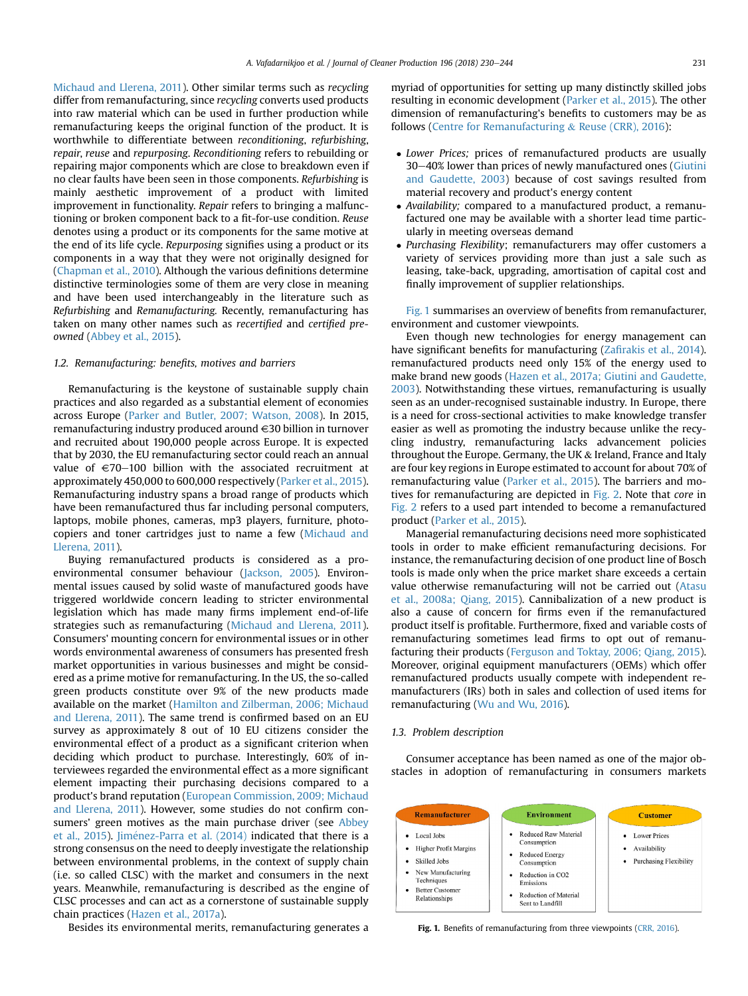[Michaud and Llerena, 2011](#page-13-0)). Other similar terms such as recycling differ from remanufacturing, since recycling converts used products into raw material which can be used in further production while remanufacturing keeps the original function of the product. It is worthwhile to differentiate between reconditioning, refurbishing, repair, reuse and repurposing. Reconditioning refers to rebuilding or repairing major components which are close to breakdown even if no clear faults have been seen in those components. Refurbishing is mainly aesthetic improvement of a product with limited improvement in functionality. Repair refers to bringing a malfunctioning or broken component back to a fit-for-use condition. Reuse denotes using a product or its components for the same motive at the end of its life cycle. Repurposing signifies using a product or its components in a way that they were not originally designed for ([Chapman et al., 2010\)](#page-13-0). Although the various definitions determine distinctive terminologies some of them are very close in meaning and have been used interchangeably in the literature such as Refurbishing and Remanufacturing. Recently, remanufacturing has taken on many other names such as recertified and certified preowned [\(Abbey et al., 2015](#page-13-0)).

## 1.2. Remanufacturing: benefits, motives and barriers

Remanufacturing is the keystone of sustainable supply chain practices and also regarded as a substantial element of economies across Europe [\(Parker and Butler, 2007; Watson, 2008](#page-13-0)). In 2015, remanufacturing industry produced around  $\in$ 30 billion in turnover and recruited about 190,000 people across Europe. It is expected that by 2030, the EU remanufacturing sector could reach an annual value of  $\epsilon$ 70-100 billion with the associated recruitment at approximately 450,000 to 600,000 respectively [\(Parker et al., 2015\)](#page-13-0). Remanufacturing industry spans a broad range of products which have been remanufactured thus far including personal computers, laptops, mobile phones, cameras, mp3 players, furniture, photocopiers and toner cartridges just to name a few [\(Michaud and](#page-13-0) [Llerena, 2011](#page-13-0)).

Buying remanufactured products is considered as a proenvironmental consumer behaviour [\(Jackson, 2005\)](#page-13-0). Environmental issues caused by solid waste of manufactured goods have triggered worldwide concern leading to stricter environmental legislation which has made many firms implement end-of-life strategies such as remanufacturing ([Michaud and Llerena, 2011\)](#page-13-0). Consumers' mounting concern for environmental issues or in other words environmental awareness of consumers has presented fresh market opportunities in various businesses and might be considered as a prime motive for remanufacturing. In the US, the so-called green products constitute over 9% of the new products made available on the market ([Hamilton and Zilberman, 2006; Michaud](#page-13-0) [and Llerena, 2011](#page-13-0)). The same trend is confirmed based on an EU survey as approximately 8 out of 10 EU citizens consider the environmental effect of a product as a significant criterion when deciding which product to purchase. Interestingly, 60% of interviewees regarded the environmental effect as a more significant element impacting their purchasing decisions compared to a product's brand reputation [\(European Commission, 2009; Michaud](#page-13-0) [and Llerena, 2011](#page-13-0)). However, some studies do not confirm con-sumers' green motives as the main purchase driver (see [Abbey](#page-13-0) [et al., 2015](#page-13-0)). Jiménez-Parra et al. (2014) indicated that there is a strong consensus on the need to deeply investigate the relationship between environmental problems, in the context of supply chain (i.e. so called CLSC) with the market and consumers in the next years. Meanwhile, remanufacturing is described as the engine of CLSC processes and can act as a cornerstone of sustainable supply chain practices [\(Hazen et al., 2017a](#page-13-0)).

Besides its environmental merits, remanufacturing generates a

myriad of opportunities for setting up many distinctly skilled jobs resulting in economic development [\(Parker et al., 2015\)](#page-13-0). The other dimension of remanufacturing's benefits to customers may be as follows [\(Centre for Remanufacturing](#page-13-0) & [Reuse \(CRR\), 2016](#page-13-0)):

- Lower Prices; prices of remanufactured products are usually 30–40% lower than prices of newly manufactured ones ([Giutini](#page-13-0) [and Gaudette, 2003](#page-13-0)) because of cost savings resulted from material recovery and product's energy content
- Availability; compared to a manufactured product, a remanufactured one may be available with a shorter lead time particularly in meeting overseas demand
- Purchasing Flexibility; remanufacturers may offer customers a variety of services providing more than just a sale such as leasing, take-back, upgrading, amortisation of capital cost and finally improvement of supplier relationships.

Fig. 1 summarises an overview of benefits from remanufacturer, environment and customer viewpoints.

Even though new technologies for energy management can have significant benefits for manufacturing (Zafi[rakis et al., 2014\)](#page-14-0). remanufactured products need only 15% of the energy used to make brand new goods [\(Hazen et al., 2017a; Giutini and Gaudette,](#page-13-0) [2003\)](#page-13-0). Notwithstanding these virtues, remanufacturing is usually seen as an under-recognised sustainable industry. In Europe, there is a need for cross-sectional activities to make knowledge transfer easier as well as promoting the industry because unlike the recycling industry, remanufacturing lacks advancement policies throughout the Europe. Germany, the UK & Ireland, France and Italy are four key regions in Europe estimated to account for about 70% of remanufacturing value ([Parker et al., 2015\)](#page-13-0). The barriers and motives for remanufacturing are depicted in [Fig. 2](#page-2-0). Note that core in [Fig. 2](#page-2-0) refers to a used part intended to become a remanufactured product ([Parker et al., 2015](#page-13-0)).

Managerial remanufacturing decisions need more sophisticated tools in order to make efficient remanufacturing decisions. For instance, the remanufacturing decision of one product line of Bosch tools is made only when the price market share exceeds a certain value otherwise remanufacturing will not be carried out [\(Atasu](#page-13-0) [et al., 2008a; Qiang, 2015\)](#page-13-0). Cannibalization of a new product is also a cause of concern for firms even if the remanufactured product itself is profitable. Furthermore, fixed and variable costs of remanufacturing sometimes lead firms to opt out of remanufacturing their products ([Ferguson and Toktay, 2006; Qiang, 2015\)](#page-13-0). Moreover, original equipment manufacturers (OEMs) which offer remanufactured products usually compete with independent remanufacturers (IRs) both in sales and collection of used items for remanufacturing [\(Wu and Wu, 2016\)](#page-14-0).

## 1.3. Problem description

Consumer acceptance has been named as one of the major obstacles in adoption of remanufacturing in consumers markets



Fig. 1. Benefits of remanufacturing from three viewpoints ([CRR, 2016](#page-13-0)).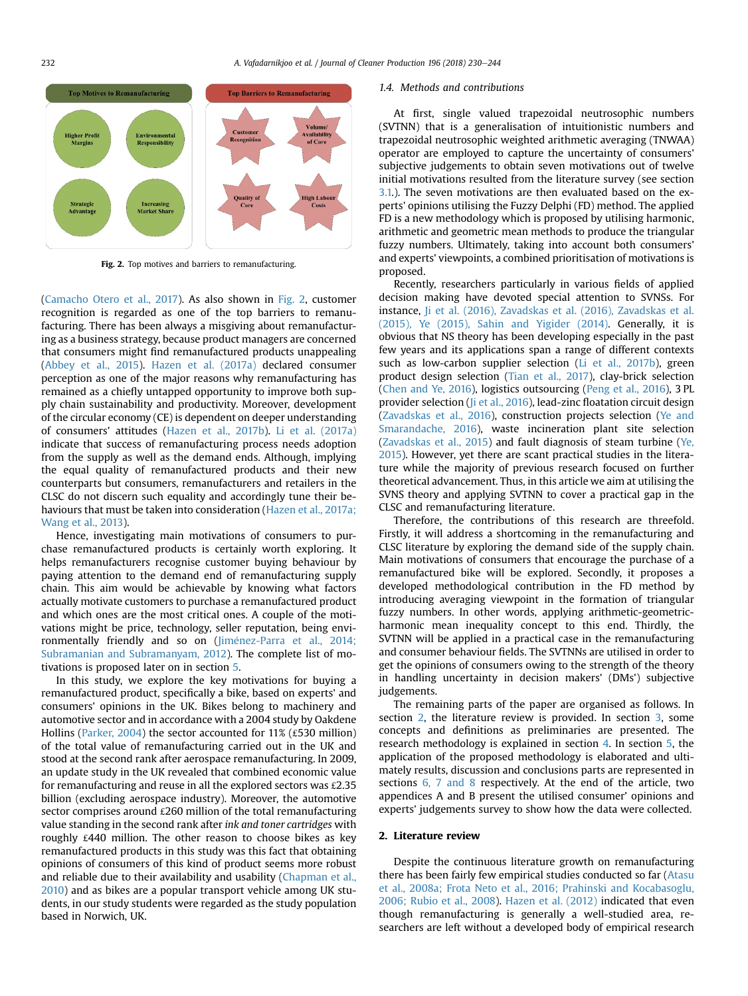<span id="page-2-0"></span>

Fig. 2. Top motives and barriers to remanufacturing.

([Camacho Otero et al., 2017\)](#page-13-0). As also shown in Fig. 2, customer recognition is regarded as one of the top barriers to remanufacturing. There has been always a misgiving about remanufacturing as a business strategy, because product managers are concerned that consumers might find remanufactured products unappealing ([Abbey et al., 2015\)](#page-13-0). [Hazen et al. \(2017a\)](#page-13-0) declared consumer perception as one of the major reasons why remanufacturing has remained as a chiefly untapped opportunity to improve both supply chain sustainability and productivity. Moreover, development of the circular economy (CE) is dependent on deeper understanding of consumers' attitudes ([Hazen et al., 2017b\)](#page-13-0). [Li et al. \(2017a\)](#page-13-0) indicate that success of remanufacturing process needs adoption from the supply as well as the demand ends. Although, implying the equal quality of remanufactured products and their new counterparts but consumers, remanufacturers and retailers in the CLSC do not discern such equality and accordingly tune their behaviours that must be taken into consideration ([Hazen et al., 2017a;](#page-13-0) [Wang et al., 2013](#page-13-0)).

Hence, investigating main motivations of consumers to purchase remanufactured products is certainly worth exploring. It helps remanufacturers recognise customer buying behaviour by paying attention to the demand end of remanufacturing supply chain. This aim would be achievable by knowing what factors actually motivate customers to purchase a remanufactured product and which ones are the most critical ones. A couple of the motivations might be price, technology, seller reputation, being envi-ronmentally friendly and so on ([Jim](#page-13-0)é[nez-Parra et al., 2014;](#page-13-0) [Subramanian and Subramanyam, 2012](#page-13-0)). The complete list of motivations is proposed later on in section [5.](#page-8-0)

In this study, we explore the key motivations for buying a remanufactured product, specifically a bike, based on experts' and consumers' opinions in the UK. Bikes belong to machinery and automotive sector and in accordance with a 2004 study by Oakdene Hollins [\(Parker, 2004\)](#page-13-0) the sector accounted for 11% (£530 million) of the total value of remanufacturing carried out in the UK and stood at the second rank after aerospace remanufacturing. In 2009, an update study in the UK revealed that combined economic value for remanufacturing and reuse in all the explored sectors was £2.35 billion (excluding aerospace industry). Moreover, the automotive sector comprises around £260 million of the total remanufacturing value standing in the second rank after ink and toner cartridges with roughly £440 million. The other reason to choose bikes as key remanufactured products in this study was this fact that obtaining opinions of consumers of this kind of product seems more robust and reliable due to their availability and usability [\(Chapman et al.,](#page-13-0) [2010](#page-13-0)) and as bikes are a popular transport vehicle among UK students, in our study students were regarded as the study population based in Norwich, UK.

#### 1.4. Methods and contributions

At first, single valued trapezoidal neutrosophic numbers (SVTNN) that is a generalisation of intuitionistic numbers and trapezoidal neutrosophic weighted arithmetic averaging (TNWAA) operator are employed to capture the uncertainty of consumers' subjective judgements to obtain seven motivations out of twelve initial motivations resulted from the literature survey (see section [3.1.](#page-5-0)). The seven motivations are then evaluated based on the experts' opinions utilising the Fuzzy Delphi (FD) method. The applied FD is a new methodology which is proposed by utilising harmonic, arithmetic and geometric mean methods to produce the triangular fuzzy numbers. Ultimately, taking into account both consumers' and experts' viewpoints, a combined prioritisation of motivations is proposed.

Recently, researchers particularly in various fields of applied decision making have devoted special attention to SVNSs. For instance, [Ji et al. \(2016\), Zavadskas et al. \(2016\), Zavadskas et al.](#page-13-0) [\(2015\), Ye \(2015\), Sahin and Yigider \(2014\)](#page-13-0). Generally, it is obvious that NS theory has been developing especially in the past few years and its applications span a range of different contexts such as low-carbon supplier selection [\(Li et al., 2017b\)](#page-13-0), green product design selection ([Tian et al., 2017](#page-14-0)), clay-brick selection ([Chen and Ye, 2016\)](#page-13-0), logistics outsourcing [\(Peng et al., 2016](#page-14-0)), 3 PL provider selection [\(Ji et al., 2016](#page-13-0)), lead-zinc floatation circuit design ([Zavadskas et al., 2016\)](#page-14-0), construction projects selection ([Ye and](#page-14-0) [Smarandache, 2016\)](#page-14-0), waste incineration plant site selection ([Zavadskas et al., 2015\)](#page-14-0) and fault diagnosis of steam turbine [\(Ye,](#page-14-0) [2015\)](#page-14-0). However, yet there are scant practical studies in the literature while the majority of previous research focused on further theoretical advancement. Thus, in this article we aim at utilising the SVNS theory and applying SVTNN to cover a practical gap in the CLSC and remanufacturing literature.

Therefore, the contributions of this research are threefold. Firstly, it will address a shortcoming in the remanufacturing and CLSC literature by exploring the demand side of the supply chain. Main motivations of consumers that encourage the purchase of a remanufactured bike will be explored. Secondly, it proposes a developed methodological contribution in the FD method by introducing averaging viewpoint in the formation of triangular fuzzy numbers. In other words, applying arithmetic-geometricharmonic mean inequality concept to this end. Thirdly, the SVTNN will be applied in a practical case in the remanufacturing and consumer behaviour fields. The SVTNNs are utilised in order to get the opinions of consumers owing to the strength of the theory in handling uncertainty in decision makers' (DMs') subjective judgements.

The remaining parts of the paper are organised as follows. In section 2, the literature review is provided. In section [3,](#page-5-0) some concepts and definitions as preliminaries are presented. The research methodology is explained in section [4.](#page-6-0) In section [5](#page-8-0), the application of the proposed methodology is elaborated and ultimately results, discussion and conclusions parts are represented in sections [6, 7 and 8](#page-8-0) respectively. At the end of the article, two appendices A and B present the utilised consumer' opinions and experts' judgements survey to show how the data were collected.

## 2. Literature review

Despite the continuous literature growth on remanufacturing there has been fairly few empirical studies conducted so far ([Atasu](#page-13-0) [et al., 2008a; Frota Neto et al., 2016; Prahinski and Kocabasoglu,](#page-13-0) [2006; Rubio et al., 2008\)](#page-13-0). [Hazen et al. \(2012\)](#page-13-0) indicated that even though remanufacturing is generally a well-studied area, researchers are left without a developed body of empirical research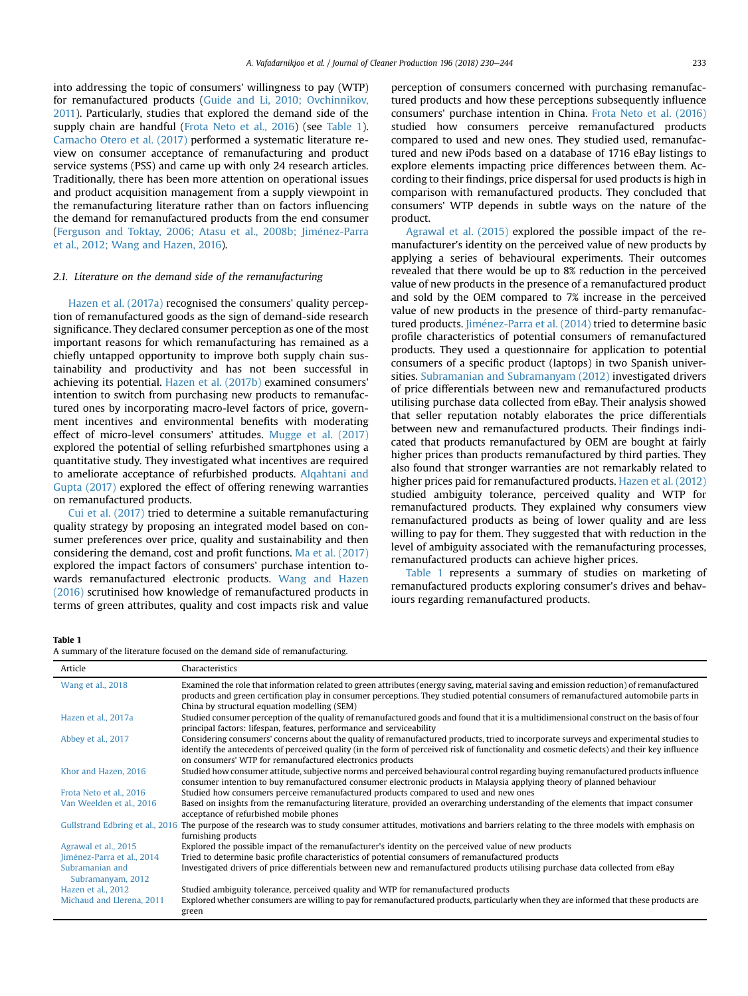<span id="page-3-0"></span>into addressing the topic of consumers' willingness to pay (WTP) for remanufactured products [\(Guide and Li, 2010; Ovchinnikov,](#page-13-0) [2011](#page-13-0)). Particularly, studies that explored the demand side of the supply chain are handful ([Frota Neto et al., 2016\)](#page-13-0) (see Table 1). [Camacho Otero et al. \(2017\)](#page-13-0) performed a systematic literature review on consumer acceptance of remanufacturing and product service systems (PSS) and came up with only 24 research articles. Traditionally, there has been more attention on operational issues and product acquisition management from a supply viewpoint in the remanufacturing literature rather than on factors influencing the demand for remanufactured products from the end consumer (Ferguson and Toktay, 2006; Atasu et al., 2008b; Jiménez-Parra [et al., 2012; Wang and Hazen, 2016](#page-13-0)).

## 2.1. Literature on the demand side of the remanufacturing

[Hazen et al. \(2017a\)](#page-13-0) recognised the consumers' quality perception of remanufactured goods as the sign of demand-side research significance. They declared consumer perception as one of the most important reasons for which remanufacturing has remained as a chiefly untapped opportunity to improve both supply chain sustainability and productivity and has not been successful in achieving its potential. [Hazen et al. \(2017b\)](#page-13-0) examined consumers' intention to switch from purchasing new products to remanufactured ones by incorporating macro-level factors of price, government incentives and environmental benefits with moderating effect of micro-level consumers' attitudes. [Mugge et al. \(2017\)](#page-13-0) explored the potential of selling refurbished smartphones using a quantitative study. They investigated what incentives are required to ameliorate acceptance of refurbished products. [Alqahtani and](#page-13-0) [Gupta \(2017\)](#page-13-0) explored the effect of offering renewing warranties on remanufactured products.

[Cui et al. \(2017\)](#page-13-0) tried to determine a suitable remanufacturing quality strategy by proposing an integrated model based on consumer preferences over price, quality and sustainability and then considering the demand, cost and profit functions. [Ma et al. \(2017\)](#page-13-0) explored the impact factors of consumers' purchase intention towards remanufactured electronic products. [Wang and Hazen](#page-14-0) [\(2016\)](#page-14-0) scrutinised how knowledge of remanufactured products in terms of green attributes, quality and cost impacts risk and value perception of consumers concerned with purchasing remanufactured products and how these perceptions subsequently influence consumers' purchase intention in China. [Frota Neto et al. \(2016\)](#page-13-0) studied how consumers perceive remanufactured products compared to used and new ones. They studied used, remanufactured and new iPods based on a database of 1716 eBay listings to explore elements impacting price differences between them. According to their findings, price dispersal for used products is high in comparison with remanufactured products. They concluded that consumers' WTP depends in subtle ways on the nature of the product.

[Agrawal et al. \(2015\)](#page-13-0) explored the possible impact of the remanufacturer's identity on the perceived value of new products by applying a series of behavioural experiments. Their outcomes revealed that there would be up to 8% reduction in the perceived value of new products in the presence of a remanufactured product and sold by the OEM compared to 7% increase in the perceived value of new products in the presence of third-party remanufactured products. Jiménez-Parra et al. (2014) tried to determine basic profile characteristics of potential consumers of remanufactured products. They used a questionnaire for application to potential consumers of a specific product (laptops) in two Spanish universities. [Subramanian and Subramanyam \(2012\)](#page-14-0) investigated drivers of price differentials between new and remanufactured products utilising purchase data collected from eBay. Their analysis showed that seller reputation notably elaborates the price differentials between new and remanufactured products. Their findings indicated that products remanufactured by OEM are bought at fairly higher prices than products remanufactured by third parties. They also found that stronger warranties are not remarkably related to higher prices paid for remanufactured products. [Hazen et al. \(2012\)](#page-13-0) studied ambiguity tolerance, perceived quality and WTP for remanufactured products. They explained why consumers view remanufactured products as being of lower quality and are less willing to pay for them. They suggested that with reduction in the level of ambiguity associated with the remanufacturing processes, remanufactured products can achieve higher prices.

Table 1 represents a summary of studies on marketing of remanufactured products exploring consumer's drives and behaviours regarding remanufactured products.

## Table 1

A summary of the literature focused on the demand side of remanufacturing.

| Article                              | Characteristics                                                                                                                                                                                                                                                                                                                                    |
|--------------------------------------|----------------------------------------------------------------------------------------------------------------------------------------------------------------------------------------------------------------------------------------------------------------------------------------------------------------------------------------------------|
| Wang et al., 2018                    | Examined the role that information related to green attributes (energy saving, material saving and emission reduction) of remanufactured<br>products and green certification play in consumer perceptions. They studied potential consumers of remanufactured automobile parts in                                                                  |
|                                      | China by structural equation modelling (SEM)                                                                                                                                                                                                                                                                                                       |
| Hazen et al., 2017a                  | Studied consumer perception of the quality of remanufactured goods and found that it is a multidimensional construct on the basis of four<br>principal factors: lifespan, features, performance and serviceability                                                                                                                                 |
| Abbey et al., 2017                   | Considering consumers' concerns about the quality of remanufactured products, tried to incorporate surveys and experimental studies to<br>identify the antecedents of perceived quality (in the form of perceived risk of functionality and cosmetic defects) and their key influence<br>on consumers' WTP for remanufactured electronics products |
| Khor and Hazen, 2016                 | Studied how consumer attitude, subjective norms and perceived behavioural control regarding buying remanufactured products influence<br>consumer intention to buy remanufactured consumer electronic products in Malaysia applying theory of planned behaviour                                                                                     |
| Frota Neto et al., 2016              | Studied how consumers perceive remanufactured products compared to used and new ones                                                                                                                                                                                                                                                               |
| Van Weelden et al., 2016             | Based on insights from the remanufacturing literature, provided an overarching understanding of the elements that impact consumer<br>acceptance of refurbished mobile phones                                                                                                                                                                       |
|                                      | Gullstrand Edbring et al., 2016 The purpose of the research was to study consumer attitudes, motivations and barriers relating to the three models with emphasis on<br>furnishing products                                                                                                                                                         |
| Agrawal et al., 2015                 | Explored the possible impact of the remanufacturer's identity on the perceived value of new products                                                                                                                                                                                                                                               |
| Jiménez-Parra et al., 2014           | Tried to determine basic profile characteristics of potential consumers of remanufactured products                                                                                                                                                                                                                                                 |
| Subramanian and<br>Subramanyam, 2012 | Investigated drivers of price differentials between new and remanufactured products utilising purchase data collected from eBay                                                                                                                                                                                                                    |
| Hazen et al., 2012                   | Studied ambiguity tolerance, perceived quality and WTP for remanufactured products                                                                                                                                                                                                                                                                 |
| Michaud and Llerena, 2011            | Explored whether consumers are willing to pay for remanufactured products, particularly when they are informed that these products are<br>green                                                                                                                                                                                                    |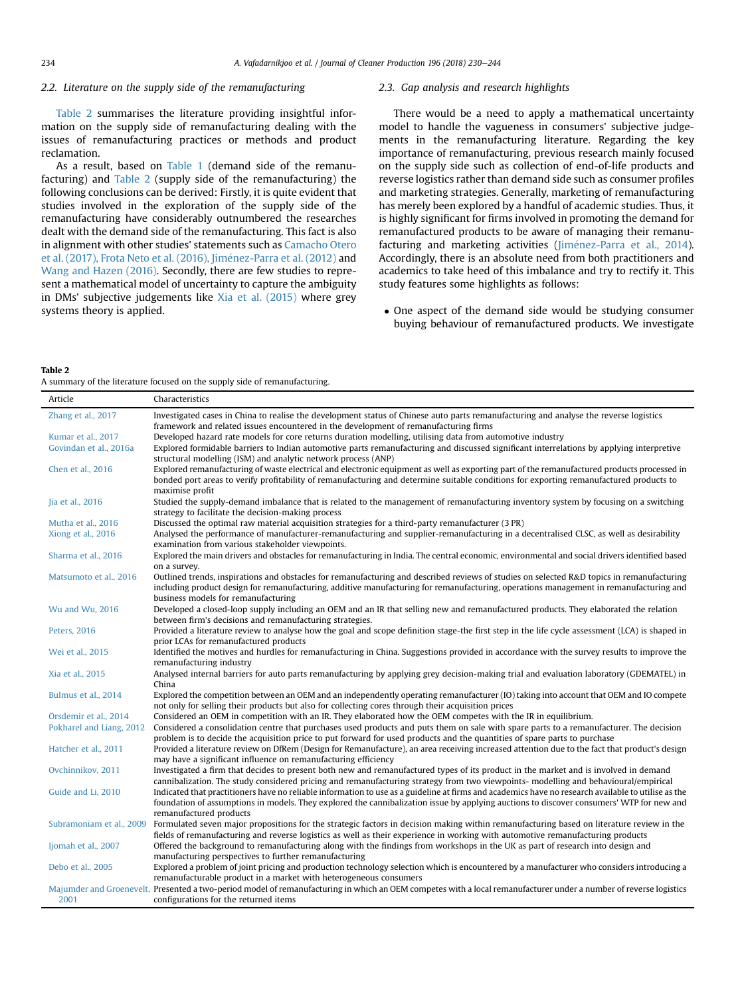## 2.2. Literature on the supply side of the remanufacturing

Table 2 summarises the literature providing insightful information on the supply side of remanufacturing dealing with the issues of remanufacturing practices or methods and product reclamation.

As a result, based on [Table 1](#page-3-0) (demand side of the remanufacturing) and Table 2 (supply side of the remanufacturing) the following conclusions can be derived: Firstly, it is quite evident that studies involved in the exploration of the supply side of the remanufacturing have considerably outnumbered the researches dealt with the demand side of the remanufacturing. This fact is also in alignment with other studies' statements such as [Camacho Otero](#page-13-0) [et al. \(2017\), Frota Neto et al. \(2016\), Jimenez-Parra et al. \(2012\)](#page-13-0) and [Wang and Hazen \(2016\).](#page-14-0) Secondly, there are few studies to represent a mathematical model of uncertainty to capture the ambiguity in DMs' subjective judgements like [Xia et al. \(2015\)](#page-14-0) where grey systems theory is applied.

## 2.3. Gap analysis and research highlights

There would be a need to apply a mathematical uncertainty model to handle the vagueness in consumers' subjective judgements in the remanufacturing literature. Regarding the key importance of remanufacturing, previous research mainly focused on the supply side such as collection of end-of-life products and reverse logistics rather than demand side such as consumer profiles and marketing strategies. Generally, marketing of remanufacturing has merely been explored by a handful of academic studies. Thus, it is highly significant for firms involved in promoting the demand for remanufactured products to be aware of managing their remanufacturing and marketing activities (Jiménez-Parra et al., 2014). Accordingly, there is an absolute need from both practitioners and academics to take heed of this imbalance and try to rectify it. This study features some highlights as follows:

 One aspect of the demand side would be studying consumer buying behaviour of remanufactured products. We investigate

#### Table 2

A summary of the literature focused on the supply side of remanufacturing.

| Article                  | Characteristics                                                                                                                                                                                                                                                                                                             |
|--------------------------|-----------------------------------------------------------------------------------------------------------------------------------------------------------------------------------------------------------------------------------------------------------------------------------------------------------------------------|
| Zhang et al., 2017       | Investigated cases in China to realise the development status of Chinese auto parts remanufacturing and analyse the reverse logistics<br>framework and related issues encountered in the development of remanufacturing firms                                                                                               |
| Kumar et al., 2017       | Developed hazard rate models for core returns duration modelling, utilising data from automotive industry                                                                                                                                                                                                                   |
| Govindan et al., 2016a   | Explored formidable barriers to Indian automotive parts remanufacturing and discussed significant interrelations by applying interpretive<br>structural modelling (ISM) and analytic network process (ANP)                                                                                                                  |
| Chen et al., 2016        | Explored remanufacturing of waste electrical and electronic equipment as well as exporting part of the remanufactured products processed in<br>bonded port areas to verify profitability of remanufacturing and determine suitable conditions for exporting remanufactured products to<br>maximise profit                   |
| Jia et al., 2016         | Studied the supply-demand imbalance that is related to the management of remanufacturing inventory system by focusing on a switching<br>strategy to facilitate the decision-making process                                                                                                                                  |
| Mutha et al., 2016       | Discussed the optimal raw material acquisition strategies for a third-party remanufacturer (3 PR)                                                                                                                                                                                                                           |
| Xiong et al., 2016       | Analysed the performance of manufacturer-remanufacturing and supplier-remanufacturing in a decentralised CLSC, as well as desirability<br>examination from various stakeholder viewpoints.                                                                                                                                  |
| Sharma et al., 2016      | Explored the main drivers and obstacles for remanufacturing in India. The central economic, environmental and social drivers identified based                                                                                                                                                                               |
|                          | on a survey.                                                                                                                                                                                                                                                                                                                |
| Matsumoto et al., 2016   | Outlined trends, inspirations and obstacles for remanufacturing and described reviews of studies on selected R&D topics in remanufacturing<br>including product design for remanufacturing, additive manufacturing for remanufacturing, operations management in remanufacturing and<br>business models for remanufacturing |
| Wu and Wu, 2016          | Developed a closed-loop supply including an OEM and an IR that selling new and remanufactured products. They elaborated the relation<br>between firm's decisions and remanufacturing strategies.                                                                                                                            |
| Peters, 2016             | Provided a literature review to analyse how the goal and scope definition stage-the first step in the life cycle assessment (LCA) is shaped in<br>prior LCAs for remanufactured products                                                                                                                                    |
| Wei et al., 2015         | Identified the motives and hurdles for remanufacturing in China. Suggestions provided in accordance with the survey results to improve the<br>remanufacturing industry                                                                                                                                                      |
| Xia et al., 2015         | Analysed internal barriers for auto parts remanufacturing by applying grey decision-making trial and evaluation laboratory (GDEMATEL) in<br>China                                                                                                                                                                           |
| Bulmus et al., 2014      | Explored the competition between an OEM and an independently operating remanufacturer (IO) taking into account that OEM and IO compete<br>not only for selling their products but also for collecting cores through their acquisition prices                                                                                |
| Örsdemir et al., 2014    | Considered an OEM in competition with an IR. They elaborated how the OEM competes with the IR in equilibrium.                                                                                                                                                                                                               |
| Pokharel and Liang, 2012 | Considered a consolidation centre that purchases used products and puts them on sale with spare parts to a remanufacturer. The decision<br>problem is to decide the acquisition price to put forward for used products and the quantities of spare parts to purchase                                                        |
| Hatcher et al., 2011     | Provided a literature review on DfRem (Design for Remanufacture), an area receiving increased attention due to the fact that product's design                                                                                                                                                                               |
|                          | may have a significant influence on remanufacturing efficiency                                                                                                                                                                                                                                                              |
| Ovchinnikov, 2011        | Investigated a firm that decides to present both new and remanufactured types of its product in the market and is involved in demand<br>cannibalization. The study considered pricing and remanufacturing strategy from two viewpoints- modelling and behavioural/empirical                                                 |
| Guide and Li, 2010       | Indicated that practitioners have no reliable information to use as a guideline at firms and academics have no research available to utilise as the<br>foundation of assumptions in models. They explored the cannibalization issue by applying auctions to discover consumers' WTP for new and                             |
| Subramoniam et al., 2009 | remanufactured products<br>Formulated seven major propositions for the strategic factors in decision making within remanufacturing based on literature review in the                                                                                                                                                        |
|                          | fields of remanufacturing and reverse logistics as well as their experience in working with automotive remanufacturing products                                                                                                                                                                                             |
| Ijomah et al., 2007      | Offered the background to remanufacturing along with the findings from workshops in the UK as part of research into design and<br>manufacturing perspectives to further remanufacturing                                                                                                                                     |
| Debo et al., 2005        | Explored a problem of joint pricing and production technology selection which is encountered by a manufacturer who considers introducing a                                                                                                                                                                                  |
|                          | remanufacturable product in a market with heterogeneous consumers<br>Majumder and Groenevelt, Presented a two-period model of remanufacturing in which an OEM competes with a local remanufacturer under a number of reverse logistics                                                                                      |
| 2001                     | configurations for the returned items                                                                                                                                                                                                                                                                                       |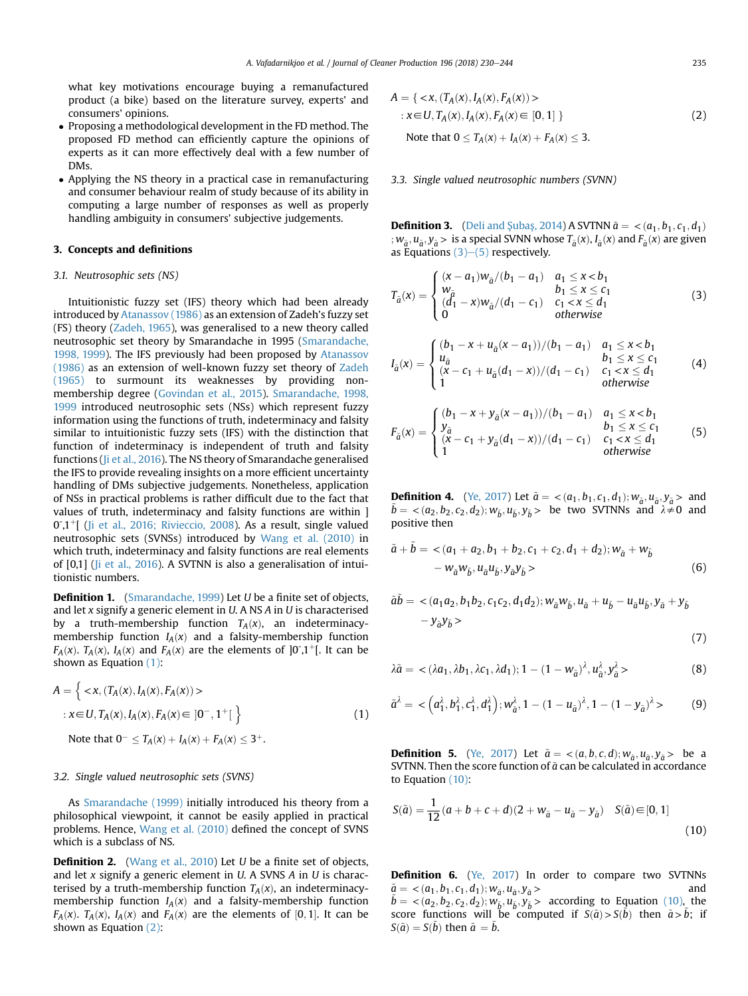<span id="page-5-0"></span>what key motivations encourage buying a remanufactured product (a bike) based on the literature survey, experts' and consumers' opinions.

- Proposing a methodological development in the FD method. The proposed FD method can efficiently capture the opinions of experts as it can more effectively deal with a few number of DMs.
- Applying the NS theory in a practical case in remanufacturing and consumer behaviour realm of study because of its ability in computing a large number of responses as well as properly handling ambiguity in consumers' subjective judgements.

## 3. Concepts and definitions

## 3.1. Neutrosophic sets (NS)

Intuitionistic fuzzy set (IFS) theory which had been already introduced by [Atanassov \(1986\)](#page-13-0) as an extension of Zadeh's fuzzy set (FS) theory [\(Zadeh, 1965](#page-14-0)), was generalised to a new theory called neutrosophic set theory by Smarandache in 1995 ([Smarandache,](#page-14-0) [1998, 1999\)](#page-14-0). The IFS previously had been proposed by [Atanassov](#page-13-0) [\(1986\)](#page-13-0) as an extension of well-known fuzzy set theory of [Zadeh](#page-14-0) [\(1965\)](#page-14-0) to surmount its weaknesses by providing nonmembership degree [\(Govindan et al., 2015\)](#page-13-0). [Smarandache, 1998,](#page-14-0) [1999](#page-14-0) introduced neutrosophic sets (NSs) which represent fuzzy information using the functions of truth, indeterminacy and falsity similar to intuitionistic fuzzy sets (IFS) with the distinction that function of indeterminacy is independent of truth and falsity functions [\(Ji et al., 2016](#page-13-0)). The NS theory of Smarandache generalised the IFS to provide revealing insights on a more efficient uncertainty handling of DMs subjective judgements. Nonetheless, application of NSs in practical problems is rather difficult due to the fact that values of truth, indeterminacy and falsity functions are within ]  $0^{\circ},1^+$ [ [\(Ji et al., 2016; Rivieccio, 2008\)](#page-13-0). As a result, single valued neutrosophic sets (SVNSs) introduced by [Wang et al. \(2010\)](#page-14-0) in which truth, indeterminacy and falsity functions are real elements of [0,1] ([Ji et al., 2016\)](#page-13-0). A SVTNN is also a generalisation of intuitionistic numbers.

**Definition 1.** [\(Smarandache, 1999](#page-14-0)) Let U be a finite set of objects, and let x signify a generic element in U. A NS A in U is characterised by a truth-membership function  $T_A(x)$ , an indeterminacymembership function  $I_A(x)$  and a falsity-membership function  $F_A(x)$ ,  $T_A(x)$ ,  $I_A(x)$  and  $F_A(x)$  are the elements of  $]0^{\circ},1^{\circ}[$ . It can be shown as Equation (1):

$$
A = \left\{ \langle x, (T_A(x), I_A(x), F_A(x)) \rangle \right\}
$$
  

$$
: x \in U, T_A(x), I_A(x), F_A(x) \in ]0^-, 1^+[\right\}
$$
  
Note that  $0^- \le T_A(x) + I_A(x) + F_A(x) \le 3^+$ . (1)

## 3.2. Single valued neutrosophic sets (SVNS)

As [Smarandache \(1999\)](#page-14-0) initially introduced his theory from a philosophical viewpoint, it cannot be easily applied in practical problems. Hence, [Wang et al. \(2010\)](#page-14-0) defined the concept of SVNS which is a subclass of NS.

**Definition 2.** [\(Wang et al., 2010](#page-14-0)) Let U be a finite set of objects, and let x signify a generic element in U. A SVNS A in U is characterised by a truth-membership function  $T_A(x)$ , an indeterminacymembership function  $I_A(x)$  and a falsity-membership function  $F_A(x)$ .  $T_A(x)$ ,  $I_A(x)$  and  $F_A(x)$  are the elements of [0, 1]. It can be shown as Equation (2):

$$
A = \{ \langle x, (T_A(x), I_A(x), F_A(x)) \rangle \}\n: x \in U, T_A(x), I_A(x), F_A(x) \in [0, 1] \}
$$
\nNote that  $0 \leq T_A(x) + I_A(x) + F_A(x) \leq 3$ .

3.3. Single valued neutrosophic numbers (SVNN)

**Definition 3.** [\(Deli and](#page-13-0) Şubaş, 2014) A [S](#page-13-0)VTNN  $\tilde{a} = \langle (a_1, b_1, c_1, d_1) \rangle$ ;  $w_{\tilde{a}}$ ,  $u_{\tilde{a}}$ ,  $y_{\tilde{a}} >$  is a special SVNN whose  $T_{\tilde{a}}(x)$ ,  $I_{\tilde{a}}(x)$  and  $F_{\tilde{a}}(x)$  are given  $\infty$  Fauxions  $(3)$ – $(5)$  respectively as Equations  $(3)$ – $(5)$  respectively.

$$
T_{\bar{a}}(x) = \begin{cases} (x - a_1)w_{\bar{a}}/(b_1 - a_1) & a_1 \le x < b_1 \\ w_{\bar{a}} & b_1 \le x \le c_1 \\ (d_1 - x)w_{\bar{a}}/(d_1 - c_1) & c_1 < x \le d_1 \\ 0 & \text{otherwise} \end{cases}
$$
(3)

$$
I_{\tilde{a}}(x) = \begin{cases} (b_1 - x + u_{\tilde{a}}(x - a_1))/(b_1 - a_1) & a_1 \le x < b_1 \\ u_{\tilde{a}} & b_1 \le x \le c_1 \\ (x - c_1 + u_{\tilde{a}}(d_1 - x))/(d_1 - c_1) & c_1 < x \le d_1 \\ 1 & \text{otherwise} \end{cases}
$$
(4)

$$
F_{\bar{a}}(x) = \begin{cases} (b_1 - x + y_{\bar{a}}(x - a_1))/(b_1 - a_1) & a_1 \le x < b_1 \\ y_{\bar{a}} & b_1 \le x \le c_1 \\ (x - c_1 + y_{\bar{a}}(d_1 - x))/(d_1 - c_1) & c_1 < x \le d_1 \\ 1 & \text{otherwise} \end{cases}
$$
(5)

**Definition 4.** [\(Ye, 2017](#page-14-0)) Let  $\tilde{a} = \langle (a_1, b_1, c_1, d_1); w_{\tilde{a}}, u_{\tilde{a}}, y_{\tilde{a}} \rangle$  and  $b = \langle (a_2, b_2, c_2, d_2); w_{\tilde{b}}, u_{\tilde{b}}, y_{\tilde{b}} \rangle$  be two SVTNNs and  $\lambda \neq 0$  and positive then positive then

$$
\tilde{a} + \tilde{b} = \langle (a_1 + a_2, b_1 + b_2, c_1 + c_2, d_1 + d_2); w_{\tilde{a}} + w_{\tilde{b}} - w_{\tilde{a}} w_{\tilde{b}}, u_{\tilde{a}} u_{\tilde{b}}, y_{\tilde{a}} y_{\tilde{b}} \rangle
$$
\n(6)

$$
\tilde{a}\tilde{b} = \langle (a_1 a_2, b_1 b_2, c_1 c_2, d_1 d_2); w_{\tilde{a}} w_{\tilde{b}}, u_{\tilde{a}} + u_{\tilde{b}} - u_{\tilde{a}} u_{\tilde{b}}, y_{\tilde{a}} + y_{\tilde{b}} - y_{\tilde{a}} y_{\tilde{b}} \rangle
$$

$$
\lambda \tilde{a} = \langle \lambda a_1, \lambda b_1, \lambda c_1, \lambda d_1 \rangle; 1 - (1 - w_{\tilde{a}})^{\lambda}, u_{\tilde{a}}^{\lambda}, y_{\tilde{a}}^{\lambda} \rangle \tag{8}
$$

$$
\tilde{a}^{\lambda} = \langle \left( a_1^{\lambda}, b_1^{\lambda}, c_1^{\lambda}, d_1^{\lambda} \right); w_{\tilde{a}}^{\lambda}, 1 - (1 - u_{\tilde{a}})^{\lambda}, 1 - (1 - y_{\tilde{a}})^{\lambda} \rangle \tag{9}
$$

**Definition 5.** ([Ye, 2017\)](#page-14-0) Let  $\tilde{a} = \langle (a, b, c, d); w_{\tilde{a}}, u_{\tilde{a}}, y_{\tilde{a}} \rangle$  be a SVTNN. Then the score function of  $\tilde{a}$  can be calculated in accordance to Equation (10):

$$
S(\tilde{a}) = \frac{1}{12}(a+b+c+d)(2+w_{\tilde{a}}-u_{\tilde{a}}-y_{\tilde{a}}) \quad S(\tilde{a}) \in [0,1]
$$
\n(10)

Definition 6. [\(Ye, 2017](#page-14-0)) In order to compare two SVTNNs  $\tilde{a} = \langle (a_1, b_1, c_1, d_1); w_{\tilde{a}}, u_{\tilde{a}}, y_{\tilde{a}} \rangle$  and  $\tilde{b} = \langle (a_2, b_2, c_3, d_2); w_{\tilde{a}}, u_{\tilde{b}}, y_{\tilde{c}} \rangle$  according to Fouation (10) the  $b = \langle (a_2, b_2, c_2, d_2), w_{\tilde{b}}, u_{\tilde{b}}, y_{\tilde{b}} \rangle$  according to Equation (10), the score functions will be computed if  $S(\tilde{a}) \setminus S(\tilde{b})$  then  $\tilde{a} \setminus \tilde{b}$ ; if score functions will be computed if  $S(\tilde{a}) > S(\tilde{b})$  then  $\tilde{a} > \tilde{b}$ ; if  $S(\tilde{a}) - S(\tilde{b})$  then  $\tilde{a} - \tilde{b}$  $S(\tilde{a}) = S(\tilde{b})$  then  $\tilde{a} = \tilde{b}$ .

(7)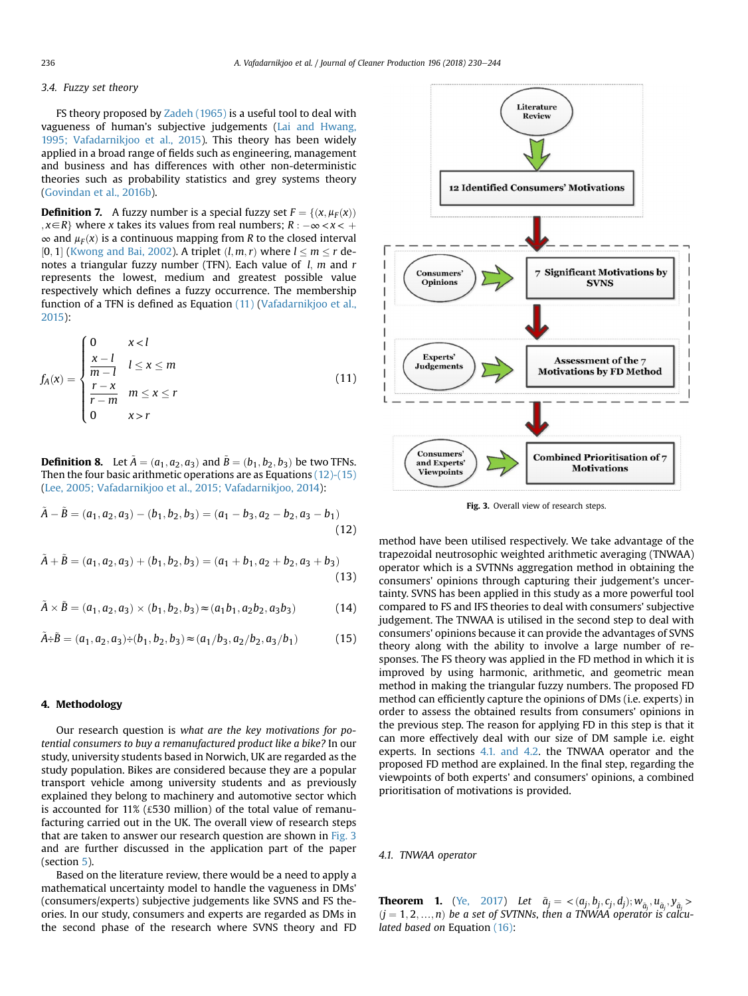## <span id="page-6-0"></span>3.4. Fuzzy set theory

FS theory proposed by [Zadeh \(1965\)](#page-14-0) is a useful tool to deal with vagueness of human's subjective judgements ([Lai and Hwang,](#page-13-0) [1995; Vafadarnikjoo et al., 2015](#page-13-0)). This theory has been widely applied in a broad range of fields such as engineering, management and business and has differences with other non-deterministic theories such as probability statistics and grey systems theory ([Govindan et al., 2016b](#page-13-0)).

**Definition 7.** A fuzzy number is a special fuzzy set  $F = \{(x, \mu_F(x))\}$  $x \in \mathbb{R}$  where x takes its values from real numbers;  $R : -\infty < x < +\infty$  $\infty$  and  $\mu_F(x)$  is a continuous mapping from R to the closed interval [0, 1] ([Kwong and Bai, 2002\)](#page-13-0). A triplet  $(l, m, r)$  where  $l \le m \le r$  denotes a triangular fuzzy number (TFN). Each value of  $l, m$  and  $r$ represents the lowest, medium and greatest possible value respectively which defines a fuzzy occurrence. The membership function of a TFN is defined as Equation (11) ([Vafadarnikjoo et al.,](#page-14-0) [2015](#page-14-0)):

$$
f_A(x) = \begin{cases} 0 & x < l \\ \frac{x - l}{m - l} & l \le x \le m \\ \frac{r - x}{r - m} & m \le x \le r \\ 0 & x > r \end{cases} \tag{11}
$$

**Definition 8.** Let  $\tilde{A} = (a_1, a_2, a_3)$  and  $\tilde{B} = (b_1, b_2, b_3)$  be two TFNs.<br>Then the four basic arithmetic operations are as Equations (12)-(15) Then the four basic arithmetic operations are as Equations  $(12)$ - $(15)$ ([Lee, 2005; Vafadarnikjoo et al., 2015; Vafadarnikjoo, 2014](#page-13-0)):

$$
\tilde{A} - \tilde{B} = (a_1, a_2, a_3) - (b_1, b_2, b_3) = (a_1 - b_3, a_2 - b_2, a_3 - b_1)
$$
\n(12)

$$
\tilde{A} + \tilde{B} = (a_1, a_2, a_3) + (b_1, b_2, b_3) = (a_1 + b_1, a_2 + b_2, a_3 + b_3)
$$
\n(13)

$$
\tilde{A} \times \tilde{B} = (a_1, a_2, a_3) \times (b_1, b_2, b_3) \approx (a_1 b_1, a_2 b_2, a_3 b_3)
$$
 (14)

$$
\tilde{A} \div \tilde{B} = (a_1, a_2, a_3) \div (b_1, b_2, b_3) \approx (a_1/b_3, a_2/b_2, a_3/b_1)
$$
(15)

## 4. Methodology

Our research question is what are the key motivations for potential consumers to buy a remanufactured product like a bike? In our study, university students based in Norwich, UK are regarded as the study population. Bikes are considered because they are a popular transport vehicle among university students and as previously explained they belong to machinery and automotive sector which is accounted for 11% (£530 million) of the total value of remanufacturing carried out in the UK. The overall view of research steps that are taken to answer our research question are shown in Fig. 3 and are further discussed in the application part of the paper (section [5\)](#page-8-0).

Based on the literature review, there would be a need to apply a mathematical uncertainty model to handle the vagueness in DMs' (consumers/experts) subjective judgements like SVNS and FS theories. In our study, consumers and experts are regarded as DMs in the second phase of the research where SVNS theory and FD



Fig. 3. Overall view of research steps.

method have been utilised respectively. We take advantage of the trapezoidal neutrosophic weighted arithmetic averaging (TNWAA) operator which is a SVTNNs aggregation method in obtaining the consumers' opinions through capturing their judgement's uncertainty. SVNS has been applied in this study as a more powerful tool compared to FS and IFS theories to deal with consumers' subjective judgement. The TNWAA is utilised in the second step to deal with consumers' opinions because it can provide the advantages of SVNS theory along with the ability to involve a large number of responses. The FS theory was applied in the FD method in which it is improved by using harmonic, arithmetic, and geometric mean method in making the triangular fuzzy numbers. The proposed FD method can efficiently capture the opinions of DMs (i.e. experts) in order to assess the obtained results from consumers' opinions in the previous step. The reason for applying FD in this step is that it can more effectively deal with our size of DM sample i.e. eight experts. In sections [4.1. and 4.2.](#page-7-0) the TNWAA operator and the proposed FD method are explained. In the final step, regarding the viewpoints of both experts' and consumers' opinions, a combined prioritisation of motivations is provided.

## 4.1. TNWAA operator

**Theorem 1.** [\(Ye, 2017\)](#page-14-0) Let  $\tilde{a}_j = \langle (a_j, b_j, c_j, d_j); w_{\tilde{a}_j}, y_{\tilde{a}_j}, y_{\tilde{a}_j} \rangle$ <br>(i – 1.2 n) be a set of SVTNNs, then a TNW44 operator is calcu- $(j = 1, 2, ..., n)$  be a set of SVTNNs, then a TNWAA operator is calculated based on Equation [\(16\)](#page-7-0):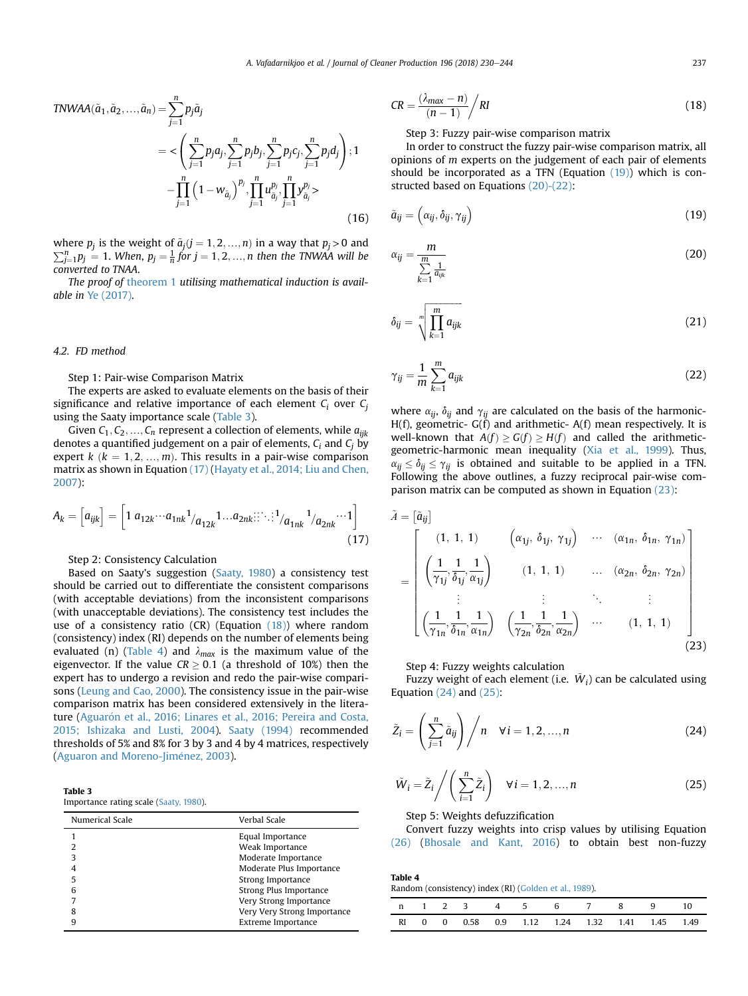<span id="page-7-0"></span>
$$
TNWAA(\tilde{a}_1, \tilde{a}_2, ..., \tilde{a}_n) = \sum_{j=1}^n p_j \tilde{a}_j
$$
  
=  $\left( \sum_{j=1}^n p_j a_j, \sum_{j=1}^n p_j b_j, \sum_{j=1}^n p_j c_j, \sum_{j=1}^n p_j d_j \right); 1$   

$$
- \prod_{j=1}^n (1 - w_{\tilde{a}_j})^{p_j}, \prod_{j=1}^n u_{\tilde{a}_j}^{p_j}, \prod_{j=1}^n y_{\tilde{a}_j}^{p_j}
$$
(16)

where  $p_j$  is the weight of  $\tilde{a}_j$  $(j = 1, 2, ..., n)$  in a way that  $p_j > 0$  and  $\sum_{j=1}^{n} p_j = 1$ . When,  $p_j = \frac{1}{n}$  for  $j = 1, 2, ..., n$  then the TNWAA will be converted to TNAA converted to TNAA.

The proof of [theorem 1](#page-6-0) utilising mathematical induction is available in [Ye \(2017\).](#page-14-0)

## 4.2. FD method

Step 1: Pair-wise Comparison Matrix

The experts are asked to evaluate elements on the basis of their significance and relative importance of each element  $C_i$  over  $C_i$ using the Saaty importance scale (Table 3).

Given  $C_1, C_2, ..., C_n$  represent a collection of elements, while  $a_{ijk}$ denotes a quantified judgement on a pair of elements,  $C_i$  and  $C_j$  by expert  $k$  ( $k = 1, 2, ..., m$ ). This results in a pair-wise comparison matrix as shown in Equation (17) ([Hayaty et al., 2014; Liu and Chen,](#page-13-0) [2007\)](#page-13-0):

$$
A_k = [a_{ijk}] = [1 \ a_{12k} \cdots a_{1nk}^1 / a_{12k}^1 \cdots a_{2nk}^1 \cdots ] / a_{1nk}^1 / a_{2nk}^1 \cdots 1]
$$
\n(17)

Step 2: Consistency Calculation

Based on Saaty's suggestion [\(Saaty, 1980](#page-14-0)) a consistency test should be carried out to differentiate the consistent comparisons (with acceptable deviations) from the inconsistent comparisons (with unacceptable deviations). The consistency test includes the use of a consistency ratio (CR) (Equation  $(18)$ ) where random (consistency) index (RI) depends on the number of elements being evaluated (n) (Table 4) and  $\lambda_{max}$  is the maximum value of the eigenvector. If the value  $CR \geq 0.1$  (a threshold of 10%) then the expert has to undergo a revision and redo the pair-wise comparisons ([Leung and Cao, 2000\)](#page-13-0). The consistency issue in the pair-wise comparison matrix has been considered extensively in the literature (Aguarón et al., 2016; Linares et al., 2016; Pereira and Costa, [2015; Ishizaka and Lusti, 2004](#page-13-0)). [Saaty \(1994\)](#page-14-0) recommended thresholds of 5% and 8% for 3 by 3 and 4 by 4 matrices, respectively (Aguaron and Moreno-Jiménez, 2003).

| Table 3 |  |
|---------|--|
|---------|--|

Importance rating scale ([Saaty, 1980](#page-14-0)).

| Numerical Scale | Verbal Scale                |
|-----------------|-----------------------------|
|                 | Equal Importance            |
|                 | Weak Importance             |
|                 | Moderate Importance         |
|                 | Moderate Plus Importance    |
|                 | Strong Importance           |
| 6               | Strong Plus Importance      |
|                 | Very Strong Importance      |
|                 | Very Very Strong Importance |
|                 | Extreme Importance          |

$$
CR = \frac{(\lambda_{max} - n)}{(n - 1)} / RI
$$
\n(18)

Step 3: Fuzzy pair-wise comparison matrix

In order to construct the fuzzy pair-wise comparison matrix, all opinions of m experts on the judgement of each pair of elements should be incorporated as a TFN (Equation  $(19)$ ) which is constructed based on Equations (20)-(22):

$$
\tilde{a}_{ij} = \left(\alpha_{ij}, \delta_{ij}, \gamma_{ij}\right) \tag{19}
$$

$$
\alpha_{ij} = \frac{m}{\sum\limits_{k=1}^{m} \frac{1}{a_{ijk}}} \tag{20}
$$

$$
\delta_{ij} = \sqrt[m]{\prod_{k=1}^{m} a_{ijk}} \tag{21}
$$

$$
\gamma_{ij} = \frac{1}{m} \sum_{k=1}^{m} a_{ijk} \tag{22}
$$

where  $\alpha_{ij}$ ,  $\delta_{ij}$  and  $\gamma_{ij}$  are calculated on the basis of the harmonic-H(f), geometric-  $G(f)$  and arithmetic-  $A(f)$  mean respectively. It is well-known that  $A(f) \ge G(f) \ge H(f)$  and called the arithmeticgeometric-harmonic mean inequality ([Xia et al., 1999](#page-14-0)). Thus,  $\alpha_{ij} \leq \delta_{ij} \leq \gamma_{ij}$  is obtained and suitable to be applied in a TFN. Following the above outlines, a fuzzy reciprocal pair-wise comparison matrix can be computed as shown in Equation (23):

$$
\tilde{A} = \begin{bmatrix} \tilde{a}_{ij} \end{bmatrix}
$$
\n
$$
= \begin{bmatrix}\n(1, 1, 1) & (\alpha_{1j}, \delta_{1j}, \gamma_{1j}) & \cdots & (\alpha_{1n}, \delta_{1n}, \gamma_{1n}) \\
\left(\frac{1}{\gamma_{1j}} \frac{1}{\delta_{1j}} \frac{1}{\alpha_{1j}}\right) & (1, 1, 1) & \cdots & (\alpha_{2n}, \delta_{2n}, \gamma_{2n}) \\
\vdots & \vdots & \ddots & \vdots \\
\left(\frac{1}{\gamma_{1n}} \frac{1}{\delta_{1n}} \frac{1}{\alpha_{1n}}\right) & \left(\frac{1}{\gamma_{2n}} \frac{1}{\delta_{2n}} \frac{1}{\alpha_{2n}}\right) & \cdots & (1, 1, 1)\n\end{bmatrix}
$$
\n(23)

Step 4: Fuzzy weights calculation

Fuzzy weight of each element (i.e.  $\tilde{W}_i$ ) can be calculated using Equation  $(24)$  and  $(25)$ :

$$
\tilde{Z}_i = \left(\sum_{j=1}^n \tilde{a}_{ij}\right) / n \quad \forall i = 1, 2, ..., n
$$
\n(24)

$$
\tilde{W}_i = \tilde{Z}_i / \left( \sum_{i=1}^n \tilde{Z}_i \right) \quad \forall i = 1, 2, ..., n
$$
\n(25)

Step 5: Weights defuzzification

Convert fuzzy weights into crisp values by utilising Equation [\(26\)](#page-8-0) ([Bhosale and Kant, 2016](#page-13-0)) to obtain best non-fuzzy

Table 4 Random (consistency) index (RI) ([Golden et al., 1989\)](#page-13-0).

|  |  |  |  | n 1 2 3 4 5 6 7 8 9 10                        |  |
|--|--|--|--|-----------------------------------------------|--|
|  |  |  |  | RI 0 0 0.58 0.9 1.12 1.24 1.32 1.41 1.45 1.49 |  |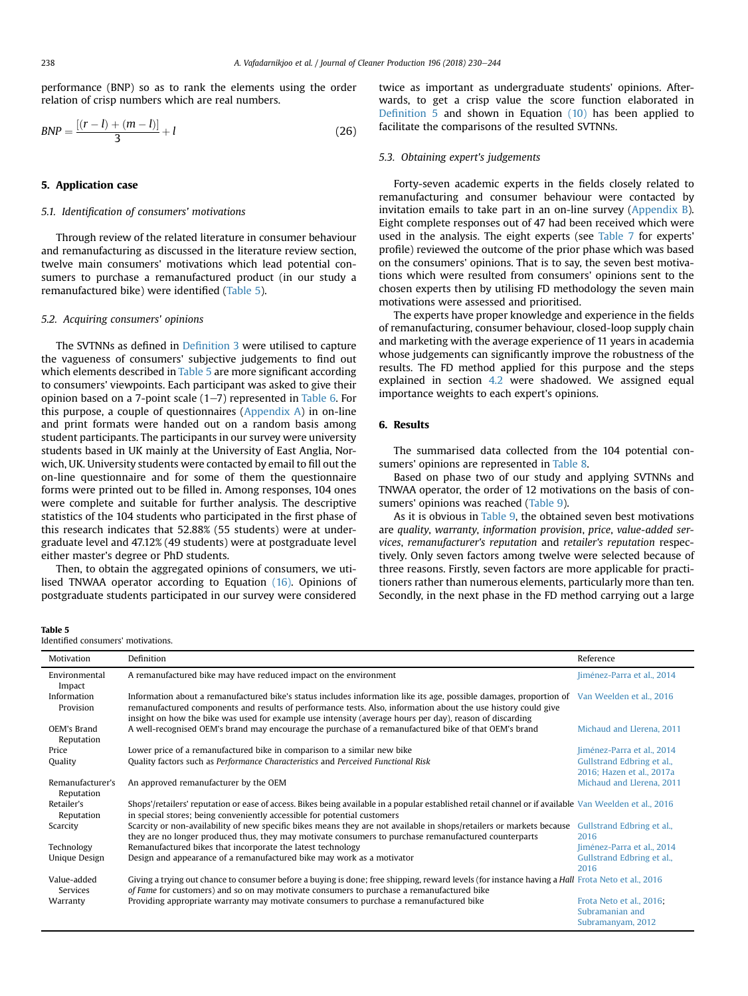<span id="page-8-0"></span>performance (BNP) so as to rank the elements using the order relation of crisp numbers which are real numbers.

$$
BNP = \frac{[(r-l)+(m-l)]}{3} + l \tag{26}
$$

## 5. Application case

## 5.1. Identification of consumers' motivations

Through review of the related literature in consumer behaviour and remanufacturing as discussed in the literature review section, twelve main consumers' motivations which lead potential consumers to purchase a remanufactured product (in our study a remanufactured bike) were identified (Table 5).

## 5.2. Acquiring consumers' opinions

The SVTNNs as defined in Defi[nition 3](#page-5-0) were utilised to capture the vagueness of consumers' subjective judgements to find out which elements described in Table 5 are more significant according to consumers' viewpoints. Each participant was asked to give their opinion based on a 7-point scale  $(1–7)$  represented in [Table 6](#page-9-0). For this purpose, a couple of questionnaires [\(Appendix A\)](#page-12-0) in on-line and print formats were handed out on a random basis among student participants. The participants in our survey were university students based in UK mainly at the University of East Anglia, Norwich, UK. University students were contacted by email to fill out the on-line questionnaire and for some of them the questionnaire forms were printed out to be filled in. Among responses, 104 ones were complete and suitable for further analysis. The descriptive statistics of the 104 students who participated in the first phase of this research indicates that 52.88% (55 students) were at undergraduate level and 47.12% (49 students) were at postgraduate level either master's degree or PhD students.

Then, to obtain the aggregated opinions of consumers, we utilised TNWAA operator according to Equation [\(16\).](#page-7-0) Opinions of postgraduate students participated in our survey were considered twice as important as undergraduate students' opinions. Afterwards, to get a crisp value the score function elaborated in Definition 5 and shown in Equation [\(10\)](#page-5-0) has been applied to facilitate the comparisons of the resulted SVTNNs.

## 5.3. Obtaining expert's judgements

Forty-seven academic experts in the fields closely related to remanufacturing and consumer behaviour were contacted by invitation emails to take part in an on-line survey [\(Appendix B\)](#page-12-0). Eight complete responses out of 47 had been received which were used in the analysis. The eight experts (see [Table 7](#page-9-0) for experts' profile) reviewed the outcome of the prior phase which was based on the consumers' opinions. That is to say, the seven best motivations which were resulted from consumers' opinions sent to the chosen experts then by utilising FD methodology the seven main motivations were assessed and prioritised.

The experts have proper knowledge and experience in the fields of remanufacturing, consumer behaviour, closed-loop supply chain and marketing with the average experience of 11 years in academia whose judgements can significantly improve the robustness of the results. The FD method applied for this purpose and the steps explained in section [4.2](#page-7-0) were shadowed. We assigned equal importance weights to each expert's opinions.

## 6. Results

The summarised data collected from the 104 potential consumers' opinions are represented in [Table 8](#page-9-0).

Based on phase two of our study and applying SVTNNs and TNWAA operator, the order of 12 motivations on the basis of consumers' opinions was reached [\(Table 9](#page-10-0)).

As it is obvious in [Table 9,](#page-10-0) the obtained seven best motivations are quality, warranty, information provision, price, value-added services, remanufacturer's reputation and retailer's reputation respectively. Only seven factors among twelve were selected because of three reasons. Firstly, seven factors are more applicable for practitioners rather than numerous elements, particularly more than ten. Secondly, in the next phase in the FD method carrying out a large

## Table 5

| Identified consumers' motivations. |                                                                                                                                                                                                                                               |                                                                  |
|------------------------------------|-----------------------------------------------------------------------------------------------------------------------------------------------------------------------------------------------------------------------------------------------|------------------------------------------------------------------|
| Motivation                         | Definition                                                                                                                                                                                                                                    | Reference                                                        |
| Environmental<br>Impact            | A remanufactured bike may have reduced impact on the environment                                                                                                                                                                              | Jiménez-Parra et al., 2014                                       |
| Information<br>Provision           | Information about a remanufactured bike's status includes information like its age, possible damages, proportion of<br>remanufactured components and results of performance tests. Also, information about the use history could give         | Van Weelden et al., 2016                                         |
| OEM's Brand<br>Reputation          | insight on how the bike was used for example use intensity (average hours per day), reason of discarding<br>A well-recognised OEM's brand may encourage the purchase of a remanufactured bike of that OEM's brand                             | Michaud and Llerena, 2011                                        |
| Price                              | Lower price of a remanufactured bike in comparison to a similar new bike                                                                                                                                                                      | Jiménez-Parra et al., 2014                                       |
| Ouality                            | Quality factors such as Performance Characteristics and Perceived Functional Risk                                                                                                                                                             | Gullstrand Edbring et al.,                                       |
|                                    |                                                                                                                                                                                                                                               | 2016; Hazen et al., 2017a                                        |
| Remanufacturer's<br>Reputation     | An approved remanufacturer by the OEM                                                                                                                                                                                                         | Michaud and Llerena, 2011                                        |
| Retailer's<br>Reputation           | Shops'/retailers' reputation or ease of access. Bikes being available in a popular established retail channel or if available Van Weelden et al., 2016<br>in special stores; being conveniently accessible for potential customers            |                                                                  |
| Scarcity                           | Scarcity or non-availability of new specific bikes means they are not available in shops/retailers or markets because                                                                                                                         | Gullstrand Edbring et al.,                                       |
|                                    | they are no longer produced thus, they may motivate consumers to purchase remanufactured counterparts                                                                                                                                         | 2016                                                             |
| Technology                         | Remanufactured bikes that incorporate the latest technology                                                                                                                                                                                   | Jiménez-Parra et al., 2014                                       |
| Unique Design                      | Design and appearance of a remanufactured bike may work as a motivator                                                                                                                                                                        | Gullstrand Edbring et al.,<br>2016                               |
| Value-added<br>Services            | Giving a trying out chance to consumer before a buying is done; free shipping, reward levels (for instance having a Hall Frota Neto et al., 2016<br>of Fame for customers) and so on may motivate consumers to purchase a remanufactured bike |                                                                  |
| Warranty                           | Providing appropriate warranty may motivate consumers to purchase a remanufactured bike                                                                                                                                                       | Frota Neto et al., 2016;<br>Subramanian and<br>Subramanyam, 2012 |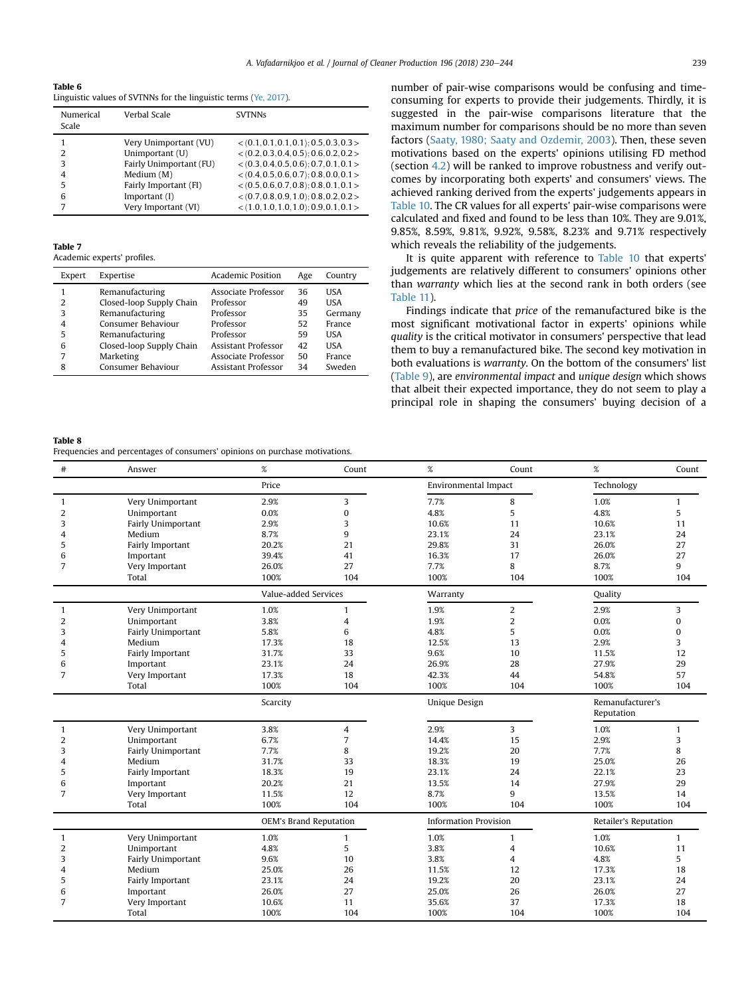<span id="page-9-0"></span>Table 6

| Linguistic values of SVTNNs for the linguistic terms (Ye, 2017). |  |  |
|------------------------------------------------------------------|--|--|
|------------------------------------------------------------------|--|--|

| Numerical<br>Scale | Verbal Scale            | <b>SVTNNs</b>                             |
|--------------------|-------------------------|-------------------------------------------|
|                    | Very Unimportant (VU)   | $< (0.1, 0.1, 0.1, 0.1); 0.5, 0.3, 0.3>$  |
| 2                  | Unimportant (U)         | $< (0.2, 0.3, 0.4, 0.5); 0.6, 0.2, 0.2>$  |
| 3                  | Fairly Unimportant (FU) | $< (0.3, 0.4, 0.5, 0.6); 0.7, 0.1, 0.1 >$ |
| 4                  | Medium (M)              | $< (0.4, 0.5, 0.6, 0.7); 0.8, 0.0, 0.1 >$ |
| 5                  | Fairly Important (FI)   | $< (0.5, 0.6, 0.7, 0.8); 0.8, 0.1, 0.1 >$ |
| 6                  | Important (I)           | $< (0.7, 0.8, 0.9, 1.0); 0.8, 0.2, 0.2>$  |
| 7                  | Very Important (VI)     | $<$ (1.0, 1.0, 1.0, 1.0); 0.9, 0.1, 0.1 > |

Table 7

Academic experts' profiles.

| Expert | Expertise                | Academic Position   | Age | Country |
|--------|--------------------------|---------------------|-----|---------|
|        | Remanufacturing          | Associate Professor | 36  | USA     |
| 2      | Closed-loop Supply Chain | Professor           | 49  | USA     |
| 3      | Remanufacturing          | Professor           | 35  | Germany |
| 4      | Consumer Behaviour       | Professor           | 52  | France  |
| 5      | Remanufacturing          | Professor           | 59  | USA     |
| 6      | Closed-loop Supply Chain | Assistant Professor | 42  | USA     |
|        | Marketing                | Associate Professor | 50  | France  |
| 8      | Consumer Behaviour       | Assistant Professor | 34  | Sweden  |

## Table 8

Frequencies and percentages of consumers' opinions on purchase motivations.

number of pair-wise comparisons would be confusing and timeconsuming for experts to provide their judgements. Thirdly, it is suggested in the pair-wise comparisons literature that the maximum number for comparisons should be no more than seven factors ([Saaty, 1980; Saaty and Ozdemir, 2003\)](#page-14-0). Then, these seven motivations based on the experts' opinions utilising FD method (section [4.2](#page-7-0)) will be ranked to improve robustness and verify outcomes by incorporating both experts' and consumers' views. The achieved ranking derived from the experts' judgements appears in [Table 10](#page-10-0). The CR values for all experts' pair-wise comparisons were calculated and fixed and found to be less than 10%. They are 9.01%, 9.85%, 8.59%, 9.81%, 9.92%, 9.58%, 8.23% and 9.71% respectively which reveals the reliability of the judgements.

It is quite apparent with reference to [Table 10](#page-10-0) that experts' judgements are relatively different to consumers' opinions other than warranty which lies at the second rank in both orders (see [Table 11](#page-10-0)).

Findings indicate that price of the remanufactured bike is the most significant motivational factor in experts' opinions while quality is the critical motivator in consumers' perspective that lead them to buy a remanufactured bike. The second key motivation in both evaluations is warranty. On the bottom of the consumers' list ([Table 9](#page-10-0)), are environmental impact and unique design which shows that albeit their expected importance, they do not seem to play a principal role in shaping the consumers' buying decision of a

| $\#$             | Answer             | $\%$                          | Count          | $\%$                         | Count          | $\%$                           | Count        |
|------------------|--------------------|-------------------------------|----------------|------------------------------|----------------|--------------------------------|--------------|
|                  |                    | Price                         |                | Environmental Impact         |                | Technology                     |              |
| $\mathbf{1}$     | Very Unimportant   | 2.9%                          | 3              | 7.7%                         | 8              | 1.0%                           | 1            |
| $\overline{2}$   | Unimportant        | 0.0%                          | $\bf{0}$       | 4.8%                         | 5              | 4.8%                           | 5            |
| 3                | Fairly Unimportant | 2.9%                          | 3              | 10.6%                        | 11             | 10.6%                          | 11           |
| 4                | Medium             | 8.7%                          | 9              | 23.1%                        | 24             | 23.1%                          | 24           |
| 5                | Fairly Important   | 20.2%                         | 21             | 29.8%                        | 31             | 26.0%                          | 27           |
| 6                | Important          | 39.4%                         | 41             | 16.3%                        | 17             | 26.0%                          | 27           |
| 7                | Very Important     | 26.0%                         | 27             | 7.7%                         | 8              | 8.7%                           | 9            |
|                  | Total              | 100%                          | 104            | 100%                         | 104            | 100%                           | 104          |
|                  |                    | Value-added Services          |                | Warranty                     |                | Quality                        |              |
| $\mathbf{1}$     | Very Unimportant   | 1.0%                          | 1              | 1.9%                         | $\overline{2}$ | 2.9%                           | 3            |
| 2                | Unimportant        | 3.8%                          | 4              | 1.9%                         | 2              | 0.0%                           | $\bf{0}$     |
| 3                | Fairly Unimportant | 5.8%                          | 6              | 4.8%                         | 5              | 0.0%                           | $\bf{0}$     |
| 4                | Medium             | 17.3%                         | 18             | 12.5%                        | 13             | 2.9%                           | 3            |
| 5                | Fairly Important   | 31.7%                         | 33             | 9.6%                         | 10             | 11.5%                          | 12           |
| 6                | Important          | 23.1%                         | 24             | 26.9%                        | 28             | 27.9%                          | 29           |
| 7                | Very Important     | 17.3%                         | 18             | 42.3%                        | 44             | 54.8%                          | 57           |
|                  | Total              | 100%                          | 104            | 100%                         | 104            | 100%                           | 104          |
|                  |                    | Scarcity                      |                | Unique Design                |                | Remanufacturer's<br>Reputation |              |
| $\mathbf{1}$     | Very Unimportant   | 3.8%                          | $\overline{4}$ | 2.9%                         | 3              | 1.0%                           | $\mathbf{1}$ |
| $\overline{2}$   | Unimportant        | 6.7%                          | $\overline{7}$ | 14.4%                        | 15             | 2.9%                           | 3            |
| 3                | Fairly Unimportant | 7.7%                          | 8              | 19.2%                        | 20             | 7.7%                           | 8            |
| 4                | Medium             | 31.7%                         | 33             | 18.3%                        | 19             | 25.0%                          | 26           |
| 5                | Fairly Important   | 18.3%                         | 19             | 23.1%                        | 24             | 22.1%                          | 23           |
| 6                | Important          | 20.2%                         | 21             | 13.5%                        | 14             | 27.9%                          | 29           |
| 7                | Very Important     | 11.5%                         | 12             | 8.7%                         | 9              | 13.5%                          | 14           |
|                  | Total              | 100%                          | 104            | 100%                         | 104            | 100%                           | 104          |
|                  |                    | <b>OEM's Brand Reputation</b> |                | <b>Information Provision</b> |                | Retailer's Reputation          |              |
| $\mathbf{1}$     | Very Unimportant   | 1.0%                          | $\mathbf{1}$   | 1.0%                         | $\mathbf{1}$   | 1.0%                           | $\mathbf{1}$ |
| $\boldsymbol{2}$ | Unimportant        | 4.8%                          | 5              | 3.8%                         | 4              | 10.6%                          | 11           |
| 3                | Fairly Unimportant | 9.6%                          | 10             | 3.8%                         | 4              | 4.8%                           | 5            |
| 4                | Medium             | 25.0%                         | 26             | 11.5%                        | 12             | 17.3%                          | 18           |
| 5                | Fairly Important   | 23.1%                         | 24             | 19.2%                        | 20             | 23.1%                          | 24           |
| 6                | Important          | 26.0%                         | 27             | 25.0%                        | 26             | 26.0%                          | 27           |
| 7                | Very Important     | 10.6%                         | 11             | 35.6%                        | 37             | 17.3%                          | 18           |
|                  |                    | 100%                          |                | 100%                         | 104            | 100%                           | 104          |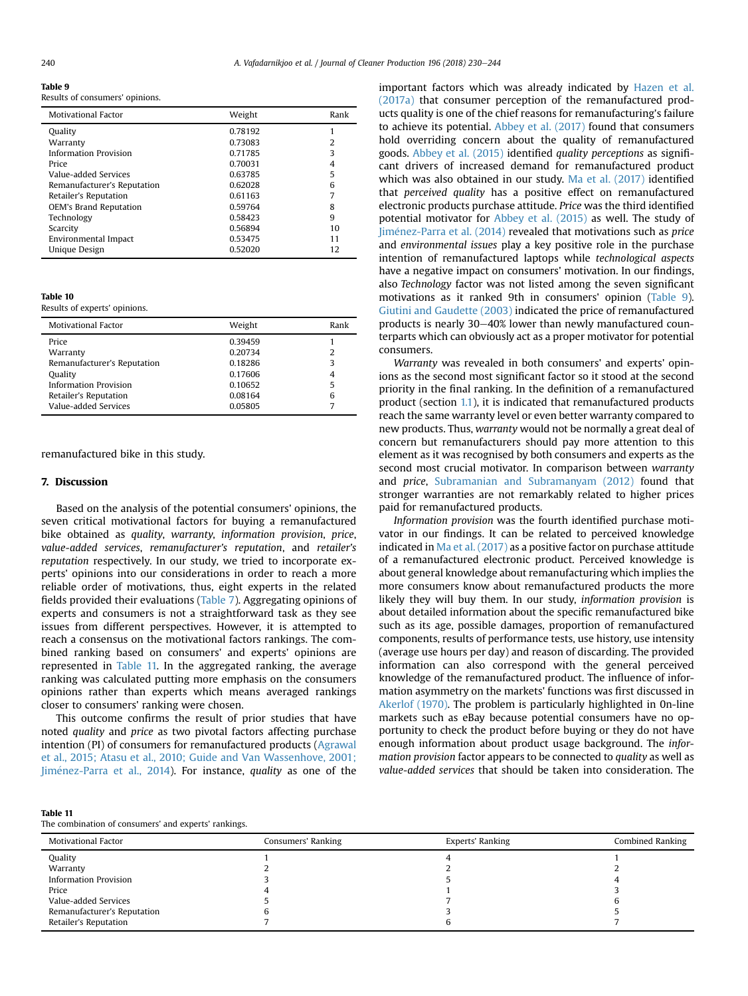#### <span id="page-10-0"></span>Table 9

Results of consumers' opinions.

| <b>Motivational Factor</b>    | Weight  | Rank |
|-------------------------------|---------|------|
| Quality                       | 0.78192 |      |
| Warranty                      | 0.73083 | 2    |
| <b>Information Provision</b>  | 0.71785 | 3    |
| Price                         | 0.70031 | 4    |
| Value-added Services          | 0.63785 | 5    |
| Remanufacturer's Reputation   | 0.62028 | 6    |
| Retailer's Reputation         | 0.61163 |      |
| <b>OEM's Brand Reputation</b> | 0.59764 | 8    |
| Technology                    | 0.58423 | 9    |
| Scarcity                      | 0.56894 | 10   |
| Environmental Impact          | 0.53475 | 11   |
| Unique Design                 | 0.52020 | 12   |

Table 10

Results of experts' opinions.

| <b>Motivational Factor</b>   | Weight  | Rank |
|------------------------------|---------|------|
| Price                        | 0.39459 |      |
| Warranty                     | 0.20734 | 2    |
| Remanufacturer's Reputation  | 0.18286 | 3    |
| Quality                      | 0.17606 | 4    |
| <b>Information Provision</b> | 0.10652 | 5    |
| Retailer's Reputation        | 0.08164 | 6    |
| Value-added Services         | 0.05805 | 7    |

remanufactured bike in this study.

## 7. Discussion

Based on the analysis of the potential consumers' opinions, the seven critical motivational factors for buying a remanufactured bike obtained as quality, warranty, information provision, price, value-added services, remanufacturer's reputation, and retailer's reputation respectively. In our study, we tried to incorporate experts' opinions into our considerations in order to reach a more reliable order of motivations, thus, eight experts in the related fields provided their evaluations ([Table 7\)](#page-9-0). Aggregating opinions of experts and consumers is not a straightforward task as they see issues from different perspectives. However, it is attempted to reach a consensus on the motivational factors rankings. The combined ranking based on consumers' and experts' opinions are represented in Table 11. In the aggregated ranking, the average ranking was calculated putting more emphasis on the consumers opinions rather than experts which means averaged rankings closer to consumers' ranking were chosen.

This outcome confirms the result of prior studies that have noted quality and price as two pivotal factors affecting purchase intention (PI) of consumers for remanufactured products [\(Agrawal](#page-13-0) [et al., 2015; Atasu et al., 2010; Guide and Van Wassenhove, 2001;](#page-13-0) [Jim](#page-13-0)é[nez-Parra et al., 2014](#page-13-0)). For instance, quality as one of the

important factors which was already indicated by [Hazen et al.](#page-13-0) [\(2017a\)](#page-13-0) that consumer perception of the remanufactured products quality is one of the chief reasons for remanufacturing's failure to achieve its potential. [Abbey et al. \(2017\)](#page-13-0) found that consumers hold overriding concern about the quality of remanufactured goods. [Abbey et al. \(2015\)](#page-13-0) identified quality perceptions as significant drivers of increased demand for remanufactured product which was also obtained in our study. [Ma et al. \(2017\)](#page-13-0) identified that perceived quality has a positive effect on remanufactured electronic products purchase attitude. Price was the third identified potential motivator for [Abbey et al. \(2015\)](#page-13-0) as well. The study of [Jim](#page-13-0)é[nez-Parra et al. \(2014\)](#page-13-0) revealed that motivations such as *price* and environmental issues play a key positive role in the purchase intention of remanufactured laptops while technological aspects have a negative impact on consumers' motivation. In our findings, also Technology factor was not listed among the seven significant motivations as it ranked 9th in consumers' opinion (Table 9). [Giutini and Gaudette \(2003\)](#page-13-0) indicated the price of remanufactured products is nearly 30-40% lower than newly manufactured counterparts which can obviously act as a proper motivator for potential consumers.

Warranty was revealed in both consumers' and experts' opinions as the second most significant factor so it stood at the second priority in the final ranking. In the definition of a remanufactured product (section [1.1\)](#page-0-0), it is indicated that remanufactured products reach the same warranty level or even better warranty compared to new products. Thus, warranty would not be normally a great deal of concern but remanufacturers should pay more attention to this element as it was recognised by both consumers and experts as the second most crucial motivator. In comparison between warranty and price, [Subramanian and Subramanyam \(2012\)](#page-14-0) found that stronger warranties are not remarkably related to higher prices paid for remanufactured products.

Information provision was the fourth identified purchase motivator in our findings. It can be related to perceived knowledge indicated in [Ma et al. \(2017\)](#page-13-0) as a positive factor on purchase attitude of a remanufactured electronic product. Perceived knowledge is about general knowledge about remanufacturing which implies the more consumers know about remanufactured products the more likely they will buy them. In our study, information provision is about detailed information about the specific remanufactured bike such as its age, possible damages, proportion of remanufactured components, results of performance tests, use history, use intensity (average use hours per day) and reason of discarding. The provided information can also correspond with the general perceived knowledge of the remanufactured product. The influence of information asymmetry on the markets' functions was first discussed in [Akerlof \(1970\)](#page-13-0). The problem is particularly highlighted in 0n-line markets such as eBay because potential consumers have no opportunity to check the product before buying or they do not have enough information about product usage background. The information provision factor appears to be connected to quality as well as value-added services that should be taken into consideration. The

## Table 11

The combination of consumers' and experts' rankings.

| nne companation or conpaniers and cuperts ramings. |                    |                  |                  |
|----------------------------------------------------|--------------------|------------------|------------------|
| Motivational Factor                                | Consumers' Ranking | Experts' Ranking | Combined Ranking |
| Quality                                            |                    |                  |                  |
| Warranty                                           |                    |                  |                  |
| Information Provision                              |                    |                  |                  |
| Price                                              |                    |                  |                  |
| Value-added Services                               |                    |                  |                  |
| Remanufacturer's Reputation                        |                    |                  |                  |
| Retailer's Reputation                              |                    |                  |                  |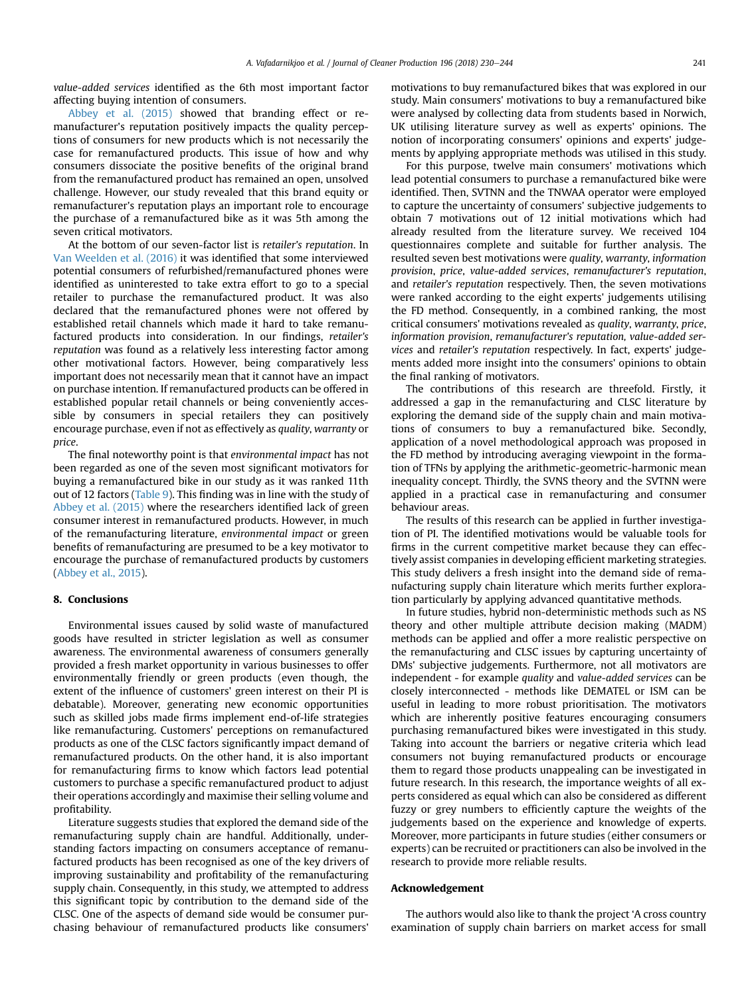value-added services identified as the 6th most important factor affecting buying intention of consumers.

[Abbey et al. \(2015\)](#page-13-0) showed that branding effect or remanufacturer's reputation positively impacts the quality perceptions of consumers for new products which is not necessarily the case for remanufactured products. This issue of how and why consumers dissociate the positive benefits of the original brand from the remanufactured product has remained an open, unsolved challenge. However, our study revealed that this brand equity or remanufacturer's reputation plays an important role to encourage the purchase of a remanufactured bike as it was 5th among the seven critical motivators.

At the bottom of our seven-factor list is retailer's reputation. In [Van Weelden et al. \(2016\)](#page-14-0) it was identified that some interviewed potential consumers of refurbished/remanufactured phones were identified as uninterested to take extra effort to go to a special retailer to purchase the remanufactured product. It was also declared that the remanufactured phones were not offered by established retail channels which made it hard to take remanufactured products into consideration. In our findings, retailer's reputation was found as a relatively less interesting factor among other motivational factors. However, being comparatively less important does not necessarily mean that it cannot have an impact on purchase intention. If remanufactured products can be offered in established popular retail channels or being conveniently accessible by consumers in special retailers they can positively encourage purchase, even if not as effectively as quality, warranty or price.

The final noteworthy point is that environmental impact has not been regarded as one of the seven most significant motivators for buying a remanufactured bike in our study as it was ranked 11th out of 12 factors ([Table 9](#page-10-0)). This finding was in line with the study of [Abbey et al. \(2015\)](#page-13-0) where the researchers identified lack of green consumer interest in remanufactured products. However, in much of the remanufacturing literature, environmental impact or green benefits of remanufacturing are presumed to be a key motivator to encourage the purchase of remanufactured products by customers ([Abbey et al., 2015](#page-13-0)).

## 8. Conclusions

Environmental issues caused by solid waste of manufactured goods have resulted in stricter legislation as well as consumer awareness. The environmental awareness of consumers generally provided a fresh market opportunity in various businesses to offer environmentally friendly or green products (even though, the extent of the influence of customers' green interest on their PI is debatable). Moreover, generating new economic opportunities such as skilled jobs made firms implement end-of-life strategies like remanufacturing. Customers' perceptions on remanufactured products as one of the CLSC factors significantly impact demand of remanufactured products. On the other hand, it is also important for remanufacturing firms to know which factors lead potential customers to purchase a specific remanufactured product to adjust their operations accordingly and maximise their selling volume and profitability.

Literature suggests studies that explored the demand side of the remanufacturing supply chain are handful. Additionally, understanding factors impacting on consumers acceptance of remanufactured products has been recognised as one of the key drivers of improving sustainability and profitability of the remanufacturing supply chain. Consequently, in this study, we attempted to address this significant topic by contribution to the demand side of the CLSC. One of the aspects of demand side would be consumer purchasing behaviour of remanufactured products like consumers'

motivations to buy remanufactured bikes that was explored in our study. Main consumers' motivations to buy a remanufactured bike were analysed by collecting data from students based in Norwich, UK utilising literature survey as well as experts' opinions. The notion of incorporating consumers' opinions and experts' judgements by applying appropriate methods was utilised in this study.

For this purpose, twelve main consumers' motivations which lead potential consumers to purchase a remanufactured bike were identified. Then, SVTNN and the TNWAA operator were employed to capture the uncertainty of consumers' subjective judgements to obtain 7 motivations out of 12 initial motivations which had already resulted from the literature survey. We received 104 questionnaires complete and suitable for further analysis. The resulted seven best motivations were quality, warranty, information provision, price, value-added services, remanufacturer's reputation, and retailer's reputation respectively. Then, the seven motivations were ranked according to the eight experts' judgements utilising the FD method. Consequently, in a combined ranking, the most critical consumers' motivations revealed as quality, warranty, price, information provision, remanufacturer's reputation, value-added services and retailer's reputation respectively. In fact, experts' judgements added more insight into the consumers' opinions to obtain the final ranking of motivators.

The contributions of this research are threefold. Firstly, it addressed a gap in the remanufacturing and CLSC literature by exploring the demand side of the supply chain and main motivations of consumers to buy a remanufactured bike. Secondly, application of a novel methodological approach was proposed in the FD method by introducing averaging viewpoint in the formation of TFNs by applying the arithmetic-geometric-harmonic mean inequality concept. Thirdly, the SVNS theory and the SVTNN were applied in a practical case in remanufacturing and consumer behaviour areas.

The results of this research can be applied in further investigation of PI. The identified motivations would be valuable tools for firms in the current competitive market because they can effectively assist companies in developing efficient marketing strategies. This study delivers a fresh insight into the demand side of remanufacturing supply chain literature which merits further exploration particularly by applying advanced quantitative methods.

In future studies, hybrid non-deterministic methods such as NS theory and other multiple attribute decision making (MADM) methods can be applied and offer a more realistic perspective on the remanufacturing and CLSC issues by capturing uncertainty of DMs' subjective judgements. Furthermore, not all motivators are independent - for example quality and value-added services can be closely interconnected - methods like DEMATEL or ISM can be useful in leading to more robust prioritisation. The motivators which are inherently positive features encouraging consumers purchasing remanufactured bikes were investigated in this study. Taking into account the barriers or negative criteria which lead consumers not buying remanufactured products or encourage them to regard those products unappealing can be investigated in future research. In this research, the importance weights of all experts considered as equal which can also be considered as different fuzzy or grey numbers to efficiently capture the weights of the judgements based on the experience and knowledge of experts. Moreover, more participants in future studies (either consumers or experts) can be recruited or practitioners can also be involved in the research to provide more reliable results.

## Acknowledgement

The authors would also like to thank the project 'A cross country examination of supply chain barriers on market access for small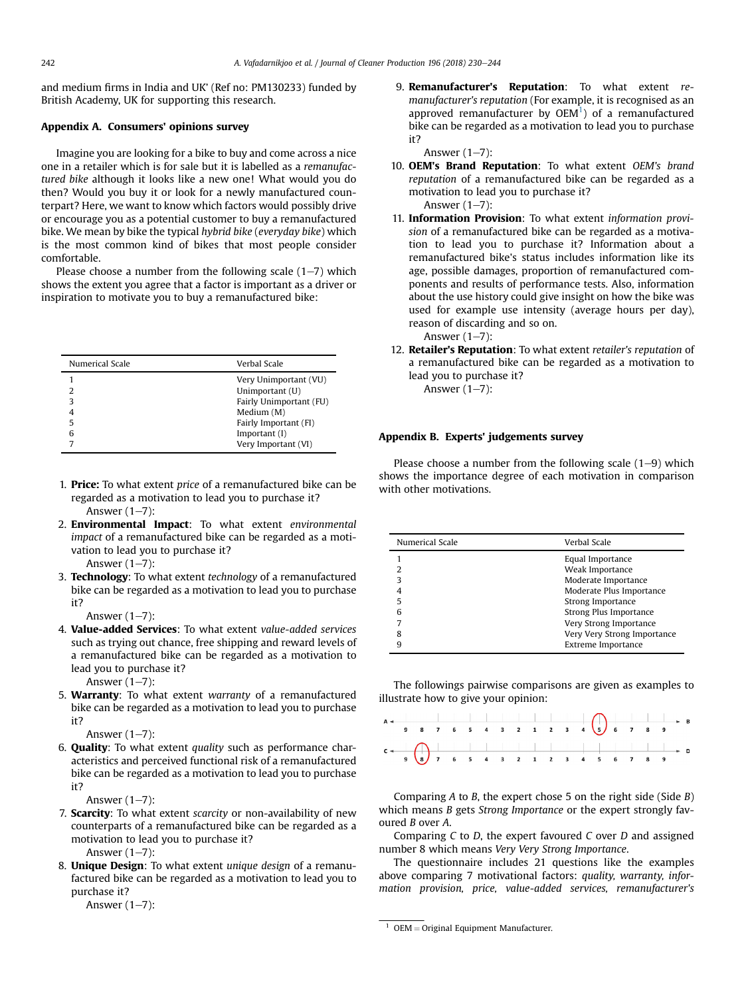<span id="page-12-0"></span>and medium firms in India and UK' (Ref no: PM130233) funded by British Academy, UK for supporting this research.

## Appendix A. Consumers' opinions survey

Imagine you are looking for a bike to buy and come across a nice one in a retailer which is for sale but it is labelled as a remanufactured bike although it looks like a new one! What would you do then? Would you buy it or look for a newly manufactured counterpart? Here, we want to know which factors would possibly drive or encourage you as a potential customer to buy a remanufactured bike. We mean by bike the typical hybrid bike (everyday bike) which is the most common kind of bikes that most people consider comfortable.

Please choose a number from the following scale  $(1-7)$  which shows the extent you agree that a factor is important as a driver or inspiration to motivate you to buy a remanufactured bike:

| Numerical Scale | Verbal Scale            |
|-----------------|-------------------------|
|                 | Very Unimportant (VU)   |
| っ               | Unimportant (U)         |
| κ               | Fairly Unimportant (FU) |
| 4               | Medium (M)              |
| 5               | Fairly Important (FI)   |
| 6               | Important(I)            |
|                 | Very Important (VI)     |
|                 |                         |

- 1. Price: To what extent price of a remanufactured bike can be regarded as a motivation to lead you to purchase it? Answer  $(1-7)$ :
- 2. Environmental Impact: To what extent environmental impact of a remanufactured bike can be regarded as a motivation to lead you to purchase it? Answer  $(1-7)$ :
	-
- 3. Technology: To what extent technology of a remanufactured bike can be regarded as a motivation to lead you to purchase it?

Answer  $(1-7)$ :

- 4. Value-added Services: To what extent value-added services such as trying out chance, free shipping and reward levels of a remanufactured bike can be regarded as a motivation to lead you to purchase it?
	- Answer  $(1-7)$ :
- 5. Warranty: To what extent warranty of a remanufactured bike can be regarded as a motivation to lead you to purchase it?

Answer  $(1-7)$ :

- 6. Quality: To what extent quality such as performance characteristics and perceived functional risk of a remanufactured bike can be regarded as a motivation to lead you to purchase it?
	- Answer  $(1-7)$ :
- 7. Scarcity: To what extent scarcity or non-availability of new counterparts of a remanufactured bike can be regarded as a motivation to lead you to purchase it? Answer  $(1-7)$ :
- 8. **Unique Design**: To what extent *unique design* of a remanu-
- factured bike can be regarded as a motivation to lead you to purchase it?

Answer  $(1-7)$ :

- 9. **Remanufacturer's Reputation:** To what extent remanufacturer's reputation (For example, it is recognised as an approved remanufacturer by  $OEM<sup>1</sup>$ ) of a remanufactured bike can be regarded as a motivation to lead you to purchase it?
	- Answer  $(1-7)$ :
- 10. **OEM's Brand Reputation**: To what extent OEM's brand reputation of a remanufactured bike can be regarded as a motivation to lead you to purchase it? Answer  $(1-7)$ :
- 11. Information Provision: To what extent information provision of a remanufactured bike can be regarded as a motivation to lead you to purchase it? Information about a remanufactured bike's status includes information like its age, possible damages, proportion of remanufactured components and results of performance tests. Also, information about the use history could give insight on how the bike was used for example use intensity (average hours per day), reason of discarding and so on.
	- Answer  $(1-7)$ :
- 12. Retailer's Reputation: To what extent retailer's reputation of a remanufactured bike can be regarded as a motivation to lead you to purchase it? Answer  $(1-7)$ :

## Appendix B. Experts' judgements survey

Please choose a number from the following scale  $(1-9)$  which shows the importance degree of each motivation in comparison with other motivations.

| Numerical Scale | Verbal Scale                |
|-----------------|-----------------------------|
|                 | Equal Importance            |
| っ               | Weak Importance             |
| 3               | Moderate Importance         |
| 4               | Moderate Plus Importance    |
| 5               | Strong Importance           |
| 6               | Strong Plus Importance      |
|                 | Very Strong Importance      |
| 8               | Very Very Strong Importance |
| 9               | Extreme Importance          |

The followings pairwise comparisons are given as examples to illustrate how to give your opinion:



Comparing  $A$  to  $B$ , the expert chose 5 on the right side (Side  $B$ ) which means *B* gets *Strong Importance* or the expert strongly favoured B over A.

Comparing C to D, the expert favoured C over D and assigned number 8 which means Very Very Strong Importance.

The questionnaire includes 21 questions like the examples above comparing 7 motivational factors: quality, warranty, information provision, price, value-added services, remanufacturer's

 $1$  OEM = Original Equipment Manufacturer.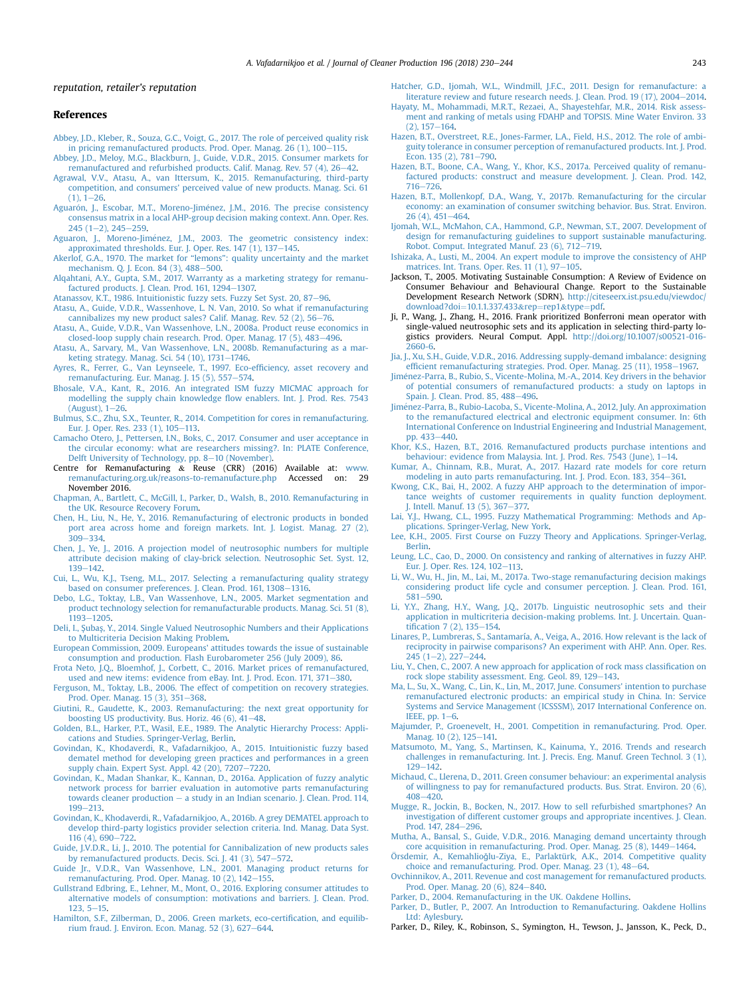## <span id="page-13-0"></span>reputation, retailer's reputation

#### References

- [Abbey, J.D., Kleber, R., Souza, G.C., Voigt, G., 2017. The role of perceived quality risk](http://refhub.elsevier.com/S0959-6526(18)31686-X/sref1) [in pricing remanufactured products. Prod. Oper. Manag. 26 \(1\), 100](http://refhub.elsevier.com/S0959-6526(18)31686-X/sref1)-[115.](http://refhub.elsevier.com/S0959-6526(18)31686-X/sref1) [Abbey, J.D., Meloy, M.G., Blackburn, J., Guide, V.D.R., 2015. Consumer markets for](http://refhub.elsevier.com/S0959-6526(18)31686-X/sref2)
- [remanufactured and refurbished products. Calif. Manag. Rev. 57 \(4\), 26](http://refhub.elsevier.com/S0959-6526(18)31686-X/sref2)-[42.](http://refhub.elsevier.com/S0959-6526(18)31686-X/sref2) [Agrawal, V.V., Atasu, A., van Ittersum, K., 2015. Remanufacturing, third-party](http://refhub.elsevier.com/S0959-6526(18)31686-X/sref3)
- [competition, and consumers' perceived value of new products. Manag. Sci. 61](http://refhub.elsevier.com/S0959-6526(18)31686-X/sref3)  $(1), 1-26.$  $(1), 1-26.$  $(1), 1-26.$  $(1), 1-26.$
- Aguarón, J., Escobar, M.T., Moreno-Jiménez, J.M., 2016. The precise consistency [consensus matrix in a local AHP-group decision making context. Ann. Oper. Res.](http://refhub.elsevier.com/S0959-6526(18)31686-X/sref4)  $245 (1 - 2)$  $245 (1 - 2)$ ,  $245 - 259$ .
- [Aguaron, J., Moreno-Jim](http://refhub.elsevier.com/S0959-6526(18)31686-X/sref5)é[nez, J.M., 2003. The geometric consistency index:](http://refhub.elsevier.com/S0959-6526(18)31686-X/sref5) [approximated thresholds. Eur. J. Oper. Res. 147 \(1\), 137](http://refhub.elsevier.com/S0959-6526(18)31686-X/sref5)-[145.](http://refhub.elsevier.com/S0959-6526(18)31686-X/sref5)
- Akerlof, G.A., 1970. The market for "lemons"[: quality uncertainty and the market](http://refhub.elsevier.com/S0959-6526(18)31686-X/sref6) [mechanism. Q. J. Econ. 84 \(3\), 488](http://refhub.elsevier.com/S0959-6526(18)31686-X/sref6)-[500.](http://refhub.elsevier.com/S0959-6526(18)31686-X/sref6)
- [Alqahtani, A.Y., Gupta, S.M., 2017. Warranty as a marketing strategy for remanu](http://refhub.elsevier.com/S0959-6526(18)31686-X/sref7)factured products. J. Clean. Prod. 161,  $1294-1307$ .
- [Atanassov, K.T., 1986. Intuitionistic fuzzy sets. Fuzzy Set Syst. 20, 87](http://refhub.elsevier.com/S0959-6526(18)31686-X/sref8)-[96.](http://refhub.elsevier.com/S0959-6526(18)31686-X/sref8)
- [Atasu, A., Guide, V.D.R., Wassenhove, L. N. Van, 2010. So what if remanufacturing](http://refhub.elsevier.com/S0959-6526(18)31686-X/sref9) cannibalizes my new product sales? Calif. Manag. Rev. 52  $(2)$ , 56-[76](http://refhub.elsevier.com/S0959-6526(18)31686-X/sref9).
- [Atasu, A., Guide, V.D.R., Van Wassenhove, L.N., 2008a. Product reuse economics in](http://refhub.elsevier.com/S0959-6526(18)31686-X/sref10) [closed-loop supply chain research. Prod. Oper. Manag. 17 \(5\), 483](http://refhub.elsevier.com/S0959-6526(18)31686-X/sref10)-[496.](http://refhub.elsevier.com/S0959-6526(18)31686-X/sref10)
- [Atasu, A., Sarvary, M., Van Wassenhove, L.N., 2008b. Remanufacturing as a mar](http://refhub.elsevier.com/S0959-6526(18)31686-X/sref11)[keting strategy. Manag. Sci. 54 \(10\), 1731](http://refhub.elsevier.com/S0959-6526(18)31686-X/sref11)-[1746.](http://refhub.elsevier.com/S0959-6526(18)31686-X/sref11)
- [Ayres, R., Ferrer, G., Van Leynseele, T., 1997. Eco-ef](http://refhub.elsevier.com/S0959-6526(18)31686-X/sref12)ficiency, asset recovery and [remanufacturing. Eur. Manag. J. 15 \(5\), 557](http://refhub.elsevier.com/S0959-6526(18)31686-X/sref12)-[574.](http://refhub.elsevier.com/S0959-6526(18)31686-X/sref12)
- [Bhosale, V.A., Kant, R., 2016. An integrated ISM fuzzy MICMAC approach for](http://refhub.elsevier.com/S0959-6526(18)31686-X/sref13) [modelling the supply chain knowledge](http://refhub.elsevier.com/S0959-6526(18)31686-X/sref13) flow enablers. Int. J. Prod. Res. 7543  $(August)$ ,  $1-26$ .
- [Bulmus, S.C., Zhu, S.X., Teunter, R., 2014. Competition for cores in remanufacturing.](http://refhub.elsevier.com/S0959-6526(18)31686-X/sref14) [Eur. J. Oper. Res. 233 \(1\), 105](http://refhub.elsevier.com/S0959-6526(18)31686-X/sref14)-[113](http://refhub.elsevier.com/S0959-6526(18)31686-X/sref14).
- [Camacho Otero, J., Pettersen, I.N., Boks, C., 2017. Consumer and user acceptance in](http://refhub.elsevier.com/S0959-6526(18)31686-X/sref15) [the circular economy: what are researchers missing?. In: PLATE Conference,](http://refhub.elsevier.com/S0959-6526(18)31686-X/sref15) [Delft University of Technology, pp. 8](http://refhub.elsevier.com/S0959-6526(18)31686-X/sref15)-[10 \(November\)](http://refhub.elsevier.com/S0959-6526(18)31686-X/sref15)
- Centre for Remanufacturing  $\&$  Reuse (CRR) (2016) Available at: [www.](http://www.remanufacturing.org.uk/reasons-to-remanufacture.php)<br>remanufacturing.org.uk/reasons-to-remanufacture.php Accessed on: 29 [remanufacturing.org.uk/reasons-to-remanufacture.php](http://www.remanufacturing.org.uk/reasons-to-remanufacture.php) November 2016.
- [Chapman, A., Bartlett, C., McGill, I., Parker, D., Walsh, B., 2010. Remanufacturing in](http://refhub.elsevier.com/S0959-6526(18)31686-X/sref17) [the UK. Resource Recovery Forum.](http://refhub.elsevier.com/S0959-6526(18)31686-X/sref17)
- [Chen, H., Liu, N., He, Y., 2016. Remanufacturing of electronic products in bonded](http://refhub.elsevier.com/S0959-6526(18)31686-X/sref18) [port area across home and foreign markets. Int. J. Logist. Manag. 27 \(2\),](http://refhub.elsevier.com/S0959-6526(18)31686-X/sref18)  $309 - 334$  $309 - 334$  $309 - 334$ .
- [Chen, J., Ye, J., 2016. A projection model of neutrosophic numbers for multiple](http://refhub.elsevier.com/S0959-6526(18)31686-X/sref19) [attribute decision making of clay-brick selection. Neutrosophic Set. Syst. 12,](http://refhub.elsevier.com/S0959-6526(18)31686-X/sref19)  $139 - 142.$  $139 - 142.$  $139 - 142.$  $139 - 142.$
- [Cui, L., Wu, K.J., Tseng, M.L., 2017. Selecting a remanufacturing quality strategy](http://refhub.elsevier.com/S0959-6526(18)31686-X/sref20) [based on consumer preferences. J. Clean. Prod. 161, 1308](http://refhub.elsevier.com/S0959-6526(18)31686-X/sref20)-[1316.](http://refhub.elsevier.com/S0959-6526(18)31686-X/sref20)
- [Debo, L.G., Toktay, L.B., Van Wassenhove, L.N., 2005. Market segmentation and](http://refhub.elsevier.com/S0959-6526(18)31686-X/sref21) [product technology selection for remanufacturable products. Manag. Sci. 51 \(8\),](http://refhub.elsevier.com/S0959-6526(18)31686-X/sref21) [1193](http://refhub.elsevier.com/S0959-6526(18)31686-X/sref21)-[1205](http://refhub.elsevier.com/S0959-6526(18)31686-X/sref21).
- Deli, I., Şubaş, Y., 2014. Single Valued Neutrosophic Numbers and their Applications [to Multicriteria Decision Making Problem](http://refhub.elsevier.com/S0959-6526(18)31686-X/sref22).
- [European Commission, 2009. Europeans' attitudes towards the issue of sustainable](http://refhub.elsevier.com/S0959-6526(18)31686-X/sref23) [consumption and production. Flash Eurobarometer 256 \(July 2009\), 86](http://refhub.elsevier.com/S0959-6526(18)31686-X/sref23).
- [Frota Neto, J.Q., Bloemhof, J., Corbett, C., 2016. Market prices of remanufactured,](http://refhub.elsevier.com/S0959-6526(18)31686-X/sref24) [used and new items: evidence from eBay. Int. J. Prod. Econ. 171, 371](http://refhub.elsevier.com/S0959-6526(18)31686-X/sref24)-[380.](http://refhub.elsevier.com/S0959-6526(18)31686-X/sref24)
- [Ferguson, M., Toktay, L.B., 2006. The effect of competition on recovery strategies.](http://refhub.elsevier.com/S0959-6526(18)31686-X/sref25) [Prod. Oper. Manag. 15 \(3\), 351](http://refhub.elsevier.com/S0959-6526(18)31686-X/sref25)–[368.](http://refhub.elsevier.com/S0959-6526(18)31686-X/sref25)<br>[Giutini, R., Gaudette, K., 2003. Remanufacturing: the next great opportunity for](http://refhub.elsevier.com/S0959-6526(18)31686-X/sref26)
- boosting US productivity. Bus. Horiz.  $46(6)$ ,  $41-48$ .
- [Golden, B.L., Harker, P.T., Wasil, E.E., 1989. The Analytic Hierarchy Process: Appli](http://refhub.elsevier.com/S0959-6526(18)31686-X/sref27)[cations and Studies. Springer-Verlag, Berlin](http://refhub.elsevier.com/S0959-6526(18)31686-X/sref27).
- [Govindan, K., Khodaverdi, R., Vafadarnikjoo, A., 2015. Intuitionistic fuzzy based](http://refhub.elsevier.com/S0959-6526(18)31686-X/sref28) [dematel method for developing green practices and performances in a green](http://refhub.elsevier.com/S0959-6526(18)31686-X/sref28) [supply chain. Expert Syst. Appl. 42 \(20\), 7207](http://refhub.elsevier.com/S0959-6526(18)31686-X/sref28)-[7220.](http://refhub.elsevier.com/S0959-6526(18)31686-X/sref28)
- [Govindan, K., Madan Shankar, K., Kannan, D., 2016a. Application of fuzzy analytic](http://refhub.elsevier.com/S0959-6526(18)31686-X/sref29) [network process for barrier evaluation in automotive parts remanufacturing](http://refhub.elsevier.com/S0959-6526(18)31686-X/sref29) [towards cleaner production](http://refhub.elsevier.com/S0959-6526(18)31686-X/sref29) - [a study in an Indian scenario. J. Clean. Prod. 114,](http://refhub.elsevier.com/S0959-6526(18)31686-X/sref29) [199](http://refhub.elsevier.com/S0959-6526(18)31686-X/sref29)-[213](http://refhub.elsevier.com/S0959-6526(18)31686-X/sref29).
- [Govindan, K., Khodaverdi, R., Vafadarnikjoo, A., 2016b. A grey DEMATEL approach to](http://refhub.elsevier.com/S0959-6526(18)31686-X/sref30) [develop third-party logistics provider selection criteria. Ind. Manag. Data Syst.](http://refhub.elsevier.com/S0959-6526(18)31686-X/sref30)  $116(4), 690 - 722.$  $116(4), 690 - 722.$
- [Guide, J.V.D.R., Li, J., 2010. The potential for Cannibalization of new products sales](http://refhub.elsevier.com/S0959-6526(18)31686-X/sref31) [by remanufactured products. Decis. Sci. J. 41 \(3\), 547](http://refhub.elsevier.com/S0959-6526(18)31686-X/sref31)–[572.](http://refhub.elsevier.com/S0959-6526(18)31686-X/sref31)<br>[Guide Jr., V.D.R., Van Wassenhove, L.N., 2001. Managing product returns for](http://refhub.elsevier.com/S0959-6526(18)31686-X/sref32)
- [remanufacturing. Prod. Oper. Manag. 10 \(2\), 142](http://refhub.elsevier.com/S0959-6526(18)31686-X/sref32)-[155](http://refhub.elsevier.com/S0959-6526(18)31686-X/sref32).
- [Gullstrand Edbring, E., Lehner, M., Mont, O., 2016. Exploring consumer attitudes to](http://refhub.elsevier.com/S0959-6526(18)31686-X/sref33) [alternative models of consumption: motivations and barriers. J. Clean. Prod.](http://refhub.elsevier.com/S0959-6526(18)31686-X/sref33)  $123, 5 - 15$  $123, 5 - 15$
- [Hamilton, S.F., Zilberman, D., 2006. Green markets, eco-certi](http://refhub.elsevier.com/S0959-6526(18)31686-X/sref34)fication, and equilib[rium fraud. J. Environ. Econ. Manag. 52 \(3\), 627](http://refhub.elsevier.com/S0959-6526(18)31686-X/sref34)-[644](http://refhub.elsevier.com/S0959-6526(18)31686-X/sref34).

[Hatcher, G.D., Ijomah, W.L., Windmill, J.F.C., 2011. Design for remanufacture: a](http://refhub.elsevier.com/S0959-6526(18)31686-X/sref35) [literature review and future research needs. J. Clean. Prod. 19 \(17\), 2004](http://refhub.elsevier.com/S0959-6526(18)31686-X/sref35)-[2014](http://refhub.elsevier.com/S0959-6526(18)31686-X/sref35).

- [Hayaty, M., Mohammadi, M.R.T., Rezaei, A., Shayestehfar, M.R., 2014. Risk assess](http://refhub.elsevier.com/S0959-6526(18)31686-X/sref36)[ment and ranking of metals using FDAHP and TOPSIS. Mine Water Environ. 33](http://refhub.elsevier.com/S0959-6526(18)31686-X/sref36)  $(2)$ , 157-[164.](http://refhub.elsevier.com/S0959-6526(18)31686-X/sref36)
- [Hazen, B.T., Overstreet, R.E., Jones-Farmer, L.A., Field, H.S., 2012. The role of ambi](http://refhub.elsevier.com/S0959-6526(18)31686-X/sref37)[guity tolerance in consumer perception of remanufactured products. Int. J. Prod.](http://refhub.elsevier.com/S0959-6526(18)31686-X/sref37) [Econ. 135 \(2\), 781](http://refhub.elsevier.com/S0959-6526(18)31686-X/sref37)-[790.](http://refhub.elsevier.com/S0959-6526(18)31686-X/sref37)
- [Hazen, B.T., Boone, C.A., Wang, Y., Khor, K.S., 2017a. Perceived quality of remanu](http://refhub.elsevier.com/S0959-6526(18)31686-X/sref38)[factured products: construct and measure development. J. Clean. Prod. 142,](http://refhub.elsevier.com/S0959-6526(18)31686-X/sref38) [716](http://refhub.elsevier.com/S0959-6526(18)31686-X/sref38)-[726](http://refhub.elsevier.com/S0959-6526(18)31686-X/sref38)
- [Hazen, B.T., Mollenkopf, D.A., Wang, Y., 2017b. Remanufacturing for the circular](http://refhub.elsevier.com/S0959-6526(18)31686-X/sref39) [economy: an examination of consumer switching behavior. Bus. Strat. Environ.](http://refhub.elsevier.com/S0959-6526(18)31686-X/sref39)  $26(4)$ , 451-[464.](http://refhub.elsevier.com/S0959-6526(18)31686-X/sref39)
- [Ijomah, W.L., McMahon, C.A., Hammond, G.P., Newman, S.T., 2007. Development of](http://refhub.elsevier.com/S0959-6526(18)31686-X/sref40) [design for remanufacturing guidelines to support sustainable manufacturing.](http://refhub.elsevier.com/S0959-6526(18)31686-X/sref40) Robot. Comput. Integrated Manuf. 23 (6),  $712-719$ .
- [Ishizaka, A., Lusti, M., 2004. An expert module to improve the consistency of AHP](http://refhub.elsevier.com/S0959-6526(18)31686-X/sref41) matrices. Int. Trans. Oper. Res.  $11$   $(1)$ ,  $97-105$ .
- Jackson, T., 2005. Motivating Sustainable Consumption: A Review of Evidence on Consumer Behaviour and Behavioural Change. Report to the Sustainable Development Research Network (SDRN). [http://citeseerx.ist.psu.edu/viewdoc/](http://citeseerx.ist.psu.edu/viewdoc/download?doi=10.1.1.337.433&rep=rep1&type=pdf) [download?doi](http://citeseerx.ist.psu.edu/viewdoc/download?doi=10.1.1.337.433&rep=rep1&type=pdf)=[10.1.1.337.433](http://citeseerx.ist.psu.edu/viewdoc/download?doi=10.1.1.337.433&rep=rep1&type=pdf)&[rep](http://citeseerx.ist.psu.edu/viewdoc/download?doi=10.1.1.337.433&rep=rep1&type=pdf)=[rep1](http://citeseerx.ist.psu.edu/viewdoc/download?doi=10.1.1.337.433&rep=rep1&type=pdf)&[type](http://citeseerx.ist.psu.edu/viewdoc/download?doi=10.1.1.337.433&rep=rep1&type=pdf)=[pdf](http://citeseerx.ist.psu.edu/viewdoc/download?doi=10.1.1.337.433&rep=rep1&type=pdf).
- Ji, P., Wang, J., Zhang, H., 2016. Frank prioritized Bonferroni mean operator with single-valued neutrosophic sets and its application in selecting third-party logistics providers. Neural Comput. Appl. [http://doi.org/10.1007/s00521-016-](http://doi.org/10.1007/s00521-016-2660-6) [2660-6](http://doi.org/10.1007/s00521-016-2660-6).
- [Jia, J., Xu, S.H., Guide, V.D.R., 2016. Addressing supply-demand imbalance: designing](http://refhub.elsevier.com/S0959-6526(18)31686-X/sref44) effi[cient remanufacturing strategies. Prod. Oper. Manag. 25 \(11\), 1958](http://refhub.elsevier.com/S0959-6526(18)31686-X/sref44)-[1967.](http://refhub.elsevier.com/S0959-6526(18)31686-X/sref44)
- [Jimenez-Parra, B., Rubio, S., Vicente-Molina, M.-A., 2014. Key drivers in the behavior](http://refhub.elsevier.com/S0959-6526(18)31686-X/sref45) [of potential consumers of remanufactured products: a study on laptops in](http://refhub.elsevier.com/S0959-6526(18)31686-X/sref45) [Spain. J. Clean. Prod. 85, 488](http://refhub.elsevier.com/S0959-6526(18)31686-X/sref45)-[496](http://refhub.elsevier.com/S0959-6526(18)31686-X/sref45).
- [Jimenez-Parra, B., Rubio-Lacoba, S., Vicente-Molina, A., 2012, July. An approximation](http://refhub.elsevier.com/S0959-6526(18)31686-X/sref46) [to the remanufactured electrical and electronic equipment consumer. In: 6th](http://refhub.elsevier.com/S0959-6526(18)31686-X/sref46) [International Conference on Industrial Engineering and Industrial Management,](http://refhub.elsevier.com/S0959-6526(18)31686-X/sref46) [pp. 433](http://refhub.elsevier.com/S0959-6526(18)31686-X/sref46)-[440.](http://refhub.elsevier.com/S0959-6526(18)31686-X/sref46)
- [Khor, K.S., Hazen, B.T., 2016. Remanufactured products purchase intentions and](http://refhub.elsevier.com/S0959-6526(18)31686-X/sref47) [behaviour: evidence from Malaysia. Int. J. Prod. Res. 7543 \(June\), 1](http://refhub.elsevier.com/S0959-6526(18)31686-X/sref47)-[14](http://refhub.elsevier.com/S0959-6526(18)31686-X/sref47).
- [Kumar, A., Chinnam, R.B., Murat, A., 2017. Hazard rate models for core return](http://refhub.elsevier.com/S0959-6526(18)31686-X/sref48) [modeling in auto parts remanufacturing. Int. J. Prod. Econ. 183, 354](http://refhub.elsevier.com/S0959-6526(18)31686-X/sref48)-[361.](http://refhub.elsevier.com/S0959-6526(18)31686-X/sref48)
- [Kwong, C.K., Bai, H., 2002. A fuzzy AHP approach to the determination of impor](http://refhub.elsevier.com/S0959-6526(18)31686-X/sref49)[tance weights of customer requirements in quality function deployment.](http://refhub.elsevier.com/S0959-6526(18)31686-X/sref49) [J. Intell. Manuf. 13 \(5\), 367](http://refhub.elsevier.com/S0959-6526(18)31686-X/sref49)-[377.](http://refhub.elsevier.com/S0959-6526(18)31686-X/sref49)
- [Lai, Y.J., Hwang, C.L., 1995. Fuzzy Mathematical Programming: Methods and Ap](http://refhub.elsevier.com/S0959-6526(18)31686-X/sref50)[plications. Springer-Verlag, New York](http://refhub.elsevier.com/S0959-6526(18)31686-X/sref50).
- [Lee, K.H., 2005. First Course on Fuzzy Theory and Applications. Springer-Verlag,](http://refhub.elsevier.com/S0959-6526(18)31686-X/sref51) [Berlin](http://refhub.elsevier.com/S0959-6526(18)31686-X/sref51).
- [Leung, L.C., Cao, D., 2000. On consistency and ranking of alternatives in fuzzy AHP.](http://refhub.elsevier.com/S0959-6526(18)31686-X/sref52) [Eur. J. Oper. Res. 124, 102](http://refhub.elsevier.com/S0959-6526(18)31686-X/sref52)-[113.](http://refhub.elsevier.com/S0959-6526(18)31686-X/sref52)
- [Li, W., Wu, H., Jin, M., Lai, M., 2017a. Two-stage remanufacturing decision makings](http://refhub.elsevier.com/S0959-6526(18)31686-X/sref53) [considering product life cycle and consumer perception. J. Clean. Prod. 161,](http://refhub.elsevier.com/S0959-6526(18)31686-X/sref53) [581](http://refhub.elsevier.com/S0959-6526(18)31686-X/sref53)-[590.](http://refhub.elsevier.com/S0959-6526(18)31686-X/sref53)
- [Li, Y.Y., Zhang, H.Y., Wang, J.Q., 2017b. Linguistic neutrosophic sets and their](http://refhub.elsevier.com/S0959-6526(18)31686-X/sref54) [application in multicriteria decision-making problems. Int. J. Uncertain. Quan](http://refhub.elsevier.com/S0959-6526(18)31686-X/sref54)tification  $7(2)$ ,  $135-154$ .
- [Linares, P., Lumbreras, S., Santamaría, A., Veiga, A., 2016. How relevant is the lack of](http://refhub.elsevier.com/S0959-6526(18)31686-X/sref55) [reciprocity in pairwise comparisons? An experiment with AHP. Ann. Oper. Res.](http://refhub.elsevier.com/S0959-6526(18)31686-X/sref55)  $245 (1-2)$  $245 (1-2)$ ,  $227-244$  $227-244$ .
- [Liu, Y., Chen, C., 2007. A new approach for application of rock mass classi](http://refhub.elsevier.com/S0959-6526(18)31686-X/sref56)fication on [rock slope stability assessment. Eng. Geol. 89, 129](http://refhub.elsevier.com/S0959-6526(18)31686-X/sref56)-[143.](http://refhub.elsevier.com/S0959-6526(18)31686-X/sref56)
- [Ma, L., Su, X., Wang, C., Lin, K., Lin, M., 2017, June. Consumers' intention to purchase](http://refhub.elsevier.com/S0959-6526(18)31686-X/sref57) [remanufactured electronic products: an empirical study in China. In: Service](http://refhub.elsevier.com/S0959-6526(18)31686-X/sref57) [Systems and Service Management \(ICSSSM\), 2017 International Conference on.](http://refhub.elsevier.com/S0959-6526(18)31686-X/sref57) IEEE, pp.  $1-6$ .
- [Majumder, P., Groenevelt, H., 2001. Competition in remanufacturing. Prod. Oper.](http://refhub.elsevier.com/S0959-6526(18)31686-X/sref58) [Manag. 10 \(2\), 125](http://refhub.elsevier.com/S0959-6526(18)31686-X/sref58)-[141.](http://refhub.elsevier.com/S0959-6526(18)31686-X/sref58)
- [Matsumoto, M., Yang, S., Martinsen, K., Kainuma, Y., 2016. Trends and research](http://refhub.elsevier.com/S0959-6526(18)31686-X/sref59) [challenges in remanufacturing. Int. J. Precis. Eng. Manuf. Green Technol. 3 \(1\),](http://refhub.elsevier.com/S0959-6526(18)31686-X/sref59)  $129 - 142$  $129 - 142$  $129 - 142$
- [Michaud, C., Llerena, D., 2011. Green consumer behaviour: an experimental analysis](http://refhub.elsevier.com/S0959-6526(18)31686-X/sref60) [of willingness to pay for remanufactured products. Bus. Strat. Environ. 20 \(6\),](http://refhub.elsevier.com/S0959-6526(18)31686-X/sref60)  $408 - 420$  $408 - 420$  $408 - 420$ .
- [Mugge, R., Jockin, B., Bocken, N., 2017. How to sell refurbished smartphones? An](http://refhub.elsevier.com/S0959-6526(18)31686-X/sref61) [investigation of different customer groups and appropriate incentives. J. Clean.](http://refhub.elsevier.com/S0959-6526(18)31686-X/sref61) [Prod. 147, 284](http://refhub.elsevier.com/S0959-6526(18)31686-X/sref61)-[296](http://refhub.elsevier.com/S0959-6526(18)31686-X/sref61).
- [Mutha, A., Bansal, S., Guide, V.D.R., 2016. Managing demand uncertainty through](http://refhub.elsevier.com/S0959-6526(18)31686-X/sref62) [core acquisition in remanufacturing. Prod. Oper. Manag. 25 \(8\), 1449](http://refhub.elsevier.com/S0959-6526(18)31686-X/sref62)–[1464.](http://refhub.elsevier.com/S0959-6526(18)31686-X/sref62)<br>Örsdemir, A., Kemahlioğ[lu-Ziya, E., Parlaktürk, A.K., 2014. Competitive quality](http://refhub.elsevier.com/S0959-6526(18)31686-X/sref63)
- choice and remanufacturing. Prod. Oper. Manag.  $23$  (1),  $48-64$ .
- [Ovchinnikov, A., 2011. Revenue and cost management for remanufactured products.](http://refhub.elsevier.com/S0959-6526(18)31686-X/sref64) [Prod. Oper. Manag. 20 \(6\), 824](http://refhub.elsevier.com/S0959-6526(18)31686-X/sref64)-[840.](http://refhub.elsevier.com/S0959-6526(18)31686-X/sref64)
- [Parker, D., 2004. Remanufacturing in the UK. Oakdene Hollins.](http://refhub.elsevier.com/S0959-6526(18)31686-X/sref65)
- [Parker, D., Butler, P., 2007. An Introduction to Remanufacturing. Oakdene Hollins](http://refhub.elsevier.com/S0959-6526(18)31686-X/sref66) [Ltd: Aylesbury](http://refhub.elsevier.com/S0959-6526(18)31686-X/sref66).
- Parker, D., Riley, K., Robinson, S., Symington, H., Tewson, J., Jansson, K., Peck, D.,